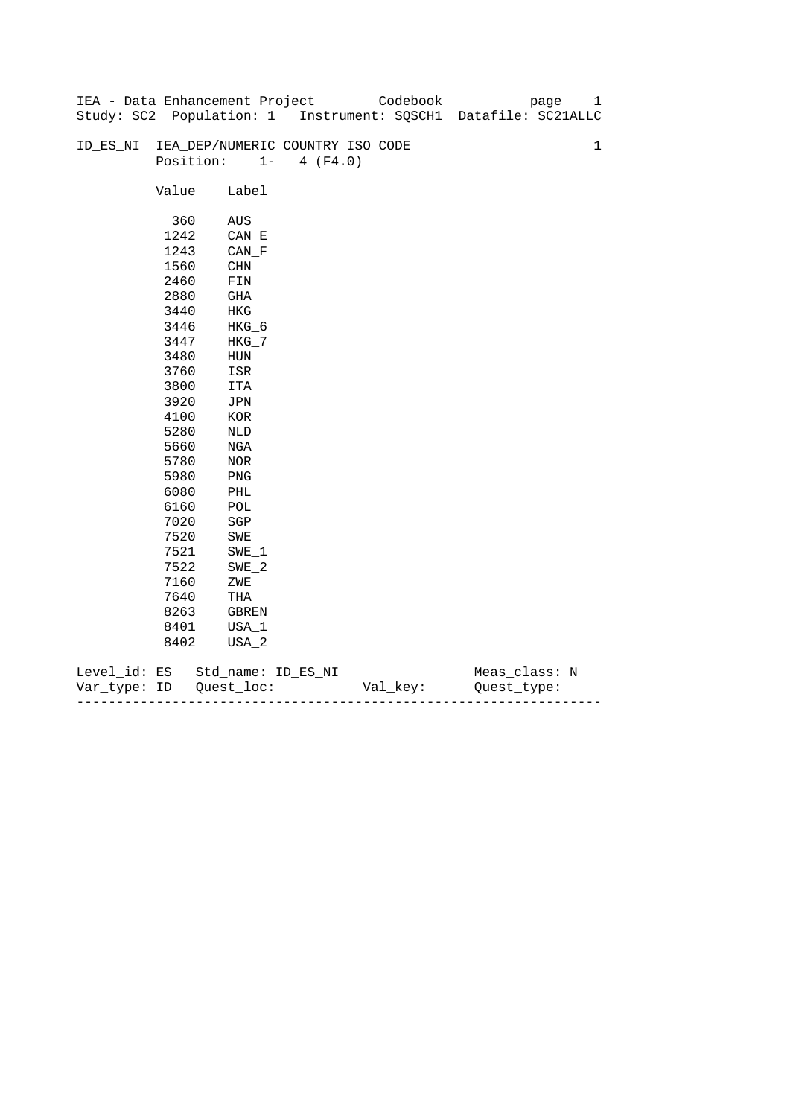|              |       | IEA - Data Enhancement Project   |                   | Codebook | page                                                           | 1           |
|--------------|-------|----------------------------------|-------------------|----------|----------------------------------------------------------------|-------------|
|              |       |                                  |                   |          | Study: SC2 Population: 1 Instrument: SQSCH1 Datafile: SC21ALLC |             |
|              |       |                                  |                   |          |                                                                |             |
| ID_ES_NI     |       | IEA_DEP/NUMERIC COUNTRY ISO CODE |                   |          |                                                                | $\mathbf 1$ |
|              |       | Position:                        | $1 -$<br>4 (F4.0) |          |                                                                |             |
|              |       |                                  |                   |          |                                                                |             |
|              | Value | Label                            |                   |          |                                                                |             |
|              |       |                                  |                   |          |                                                                |             |
|              | 360   | AUS                              |                   |          |                                                                |             |
|              | 1242  | $CAN$ <sub>_</sub> E             |                   |          |                                                                |             |
|              | 1243  | $CAN_F$                          |                   |          |                                                                |             |
|              | 1560  | <b>CHN</b>                       |                   |          |                                                                |             |
|              | 2460  | ${\tt FIN}$                      |                   |          |                                                                |             |
|              | 2880  | GHA                              |                   |          |                                                                |             |
|              | 3440  | HKG                              |                   |          |                                                                |             |
|              | 3446  | HKG_6                            |                   |          |                                                                |             |
|              | 3447  | $HKG_7$                          |                   |          |                                                                |             |
|              | 3480  | HUN                              |                   |          |                                                                |             |
|              | 3760  | ISR                              |                   |          |                                                                |             |
|              | 3800  | ITA                              |                   |          |                                                                |             |
|              | 3920  | JPN                              |                   |          |                                                                |             |
|              | 4100  | $_{\rm KOR}$                     |                   |          |                                                                |             |
|              | 5280  | NLD                              |                   |          |                                                                |             |
|              | 5660  | NGA                              |                   |          |                                                                |             |
|              | 5780  | $_{\rm NOR}$                     |                   |          |                                                                |             |
|              | 5980  | PNG                              |                   |          |                                                                |             |
|              | 6080  | PHL                              |                   |          |                                                                |             |
|              | 6160  | $\mathop{\rm POL}\nolimits$      |                   |          |                                                                |             |
|              | 7020  | $_{\rm SGP}$                     |                   |          |                                                                |             |
|              | 7520  | SWE                              |                   |          |                                                                |             |
|              | 7521  | $SWE_1$                          |                   |          |                                                                |             |
|              | 7522  | $SWE_2$                          |                   |          |                                                                |             |
|              | 7160  | ZWE                              |                   |          |                                                                |             |
|              | 7640  | THA                              |                   |          |                                                                |             |
|              | 8263  | GBREN                            |                   |          |                                                                |             |
|              | 8401  | USA_1                            |                   |          |                                                                |             |
|              | 8402  | USA_2                            |                   |          |                                                                |             |
|              |       |                                  |                   |          |                                                                |             |
| Level_id: ES |       | Std_name: ID_ES_NI               |                   |          | Meas_class: N                                                  |             |

| Var<br>TVDA: | ID | $- -$<br>--- | - |
|--------------|----|--------------|---|
|              |    |              |   |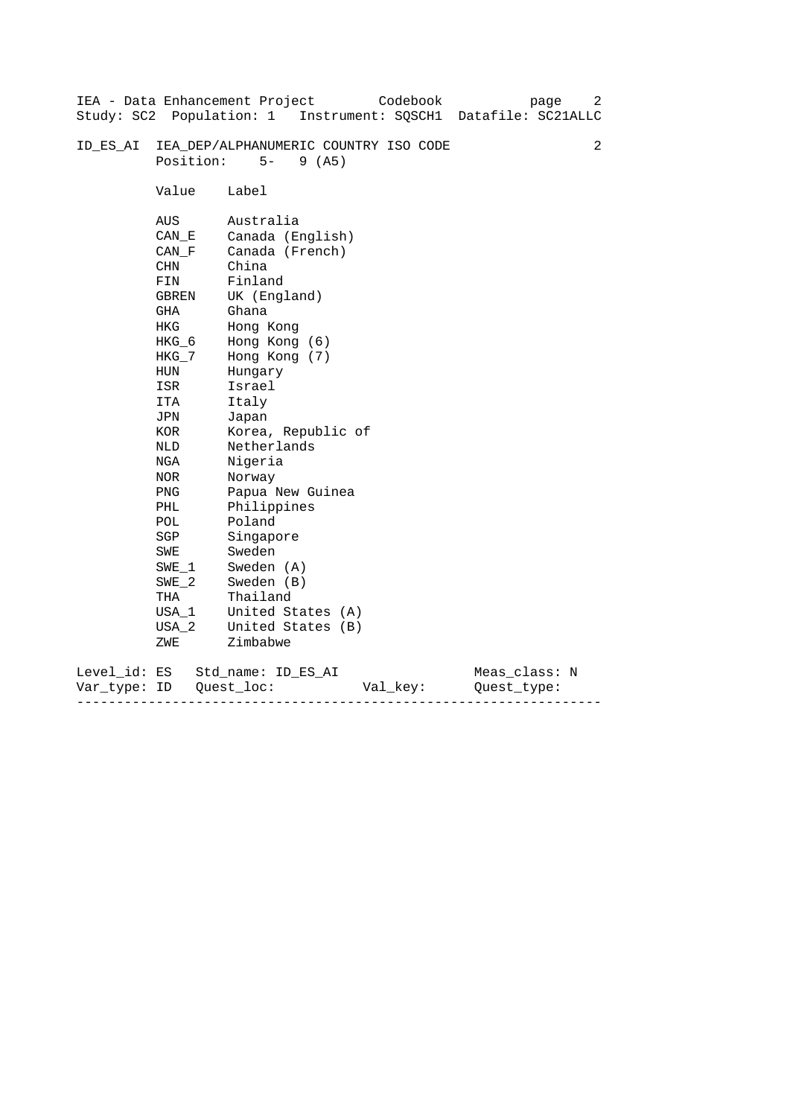|                           |                                                                                                                                                                                                               | Codebook<br>IEA - Data Enhancement Project<br>page<br>Study: SC2 Population: 1 Instrument: SQSCH1 Datafile: SC21ALLC                                                                                                                                                                                                                                      | 2 |
|---------------------------|---------------------------------------------------------------------------------------------------------------------------------------------------------------------------------------------------------------|-----------------------------------------------------------------------------------------------------------------------------------------------------------------------------------------------------------------------------------------------------------------------------------------------------------------------------------------------------------|---|
| ID ES AI                  | Position:                                                                                                                                                                                                     | IEA_DEP/ALPHANUMERIC COUNTRY ISO CODE<br>$5 -$<br>9(AB)                                                                                                                                                                                                                                                                                                   | 2 |
|                           | Value                                                                                                                                                                                                         | Label                                                                                                                                                                                                                                                                                                                                                     |   |
|                           | AUS<br>CAN E<br>CAN F<br>CHN<br>FIN<br><b>GBREN</b><br>GHA<br>HKG<br>$HKG_6$<br>HKG_7<br>HUN<br>ISR<br>ITA<br>JPN<br>KOR<br>NLD<br>NGA<br>NOR<br>PNG<br>PHL<br>POL<br>SGP<br>SWE<br>$SWE_1$<br>$SWE_2$<br>THA | Australia<br>Canada (English)<br>Canada (French)<br>China<br>Finland<br>UK (England)<br>Ghana<br>Hong Kong<br>Hong Kong (6)<br>Hong Kong (7)<br>Hungary<br>Israel<br>Italy<br>Japan<br>Korea, Republic of<br>Netherlands<br>Nigeria<br>Norway<br>Papua New Guinea<br>Philippines<br>Poland<br>Singapore<br>Sweden<br>Sweden (A)<br>Sweden (B)<br>Thailand |   |
|                           | USA 1<br>USA 2                                                                                                                                                                                                | United States (A)<br>United States (B)                                                                                                                                                                                                                                                                                                                    |   |
|                           | ZWE                                                                                                                                                                                                           | Zimbabwe                                                                                                                                                                                                                                                                                                                                                  |   |
| Level_id: ES<br>Var_type: | ID                                                                                                                                                                                                            | Meas_class: N<br>Std name: ID ES AI<br>Quest loc:<br>Val_key:<br>Ouest type:                                                                                                                                                                                                                                                                              |   |

------------------------------------------------------------------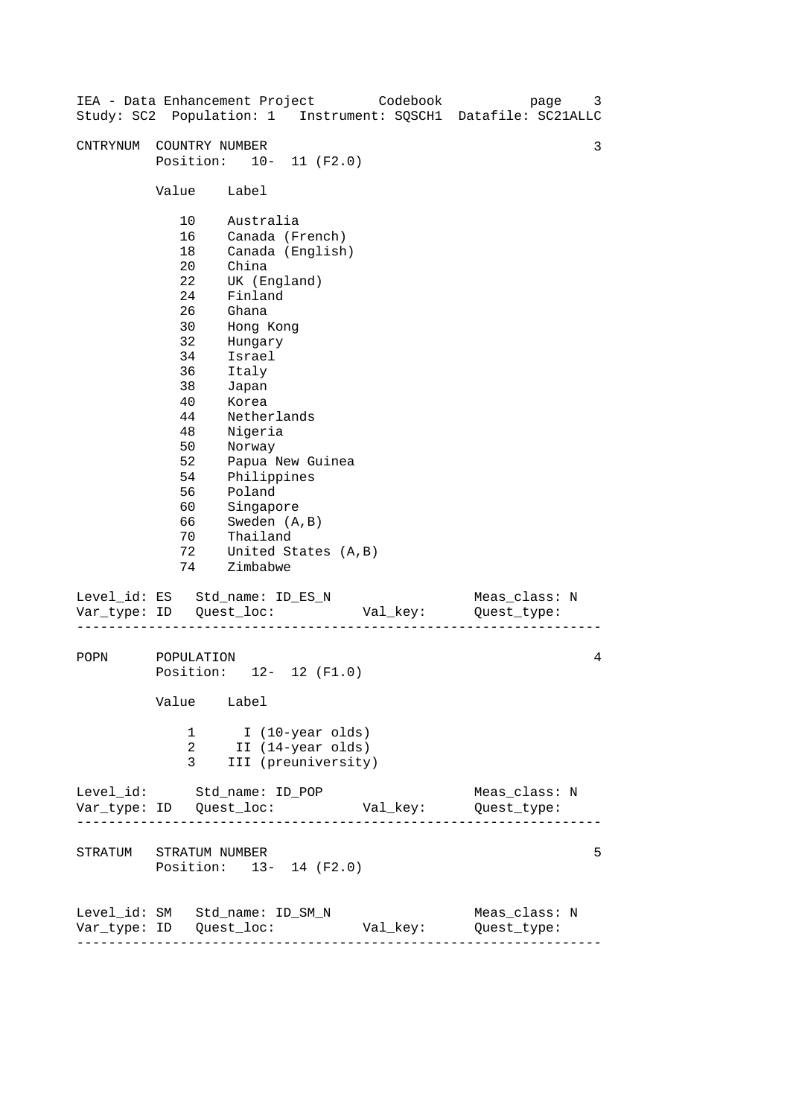| IEA - Data Enhancement Project |                                                                                                                                  |                                                                                                                                                                                                                                                                                       | Codebook<br>Study: SC2 Population: 1 Instrument: SQSCH1 Datafile: SC21ALLC | page                         | 3 |
|--------------------------------|----------------------------------------------------------------------------------------------------------------------------------|---------------------------------------------------------------------------------------------------------------------------------------------------------------------------------------------------------------------------------------------------------------------------------------|----------------------------------------------------------------------------|------------------------------|---|
| CNTRYNUM                       | COUNTRY NUMBER                                                                                                                   | Position: 10- 11 (F2.0)                                                                                                                                                                                                                                                               |                                                                            |                              | 3 |
|                                | Value                                                                                                                            | Label                                                                                                                                                                                                                                                                                 |                                                                            |                              |   |
|                                | 10<br>16<br>18<br>20<br>22<br>24<br>26<br>30<br>32<br>34<br>36<br>38<br>40<br>44<br>48<br>50<br>52<br>54<br>56<br>60<br>66<br>70 | Australia<br>Canada (French)<br>Canada (English)<br>China<br>UK (England)<br>Finland<br>Ghana<br>Hong Kong<br>Hungary<br>Israel<br>Italy<br>Japan<br>Korea<br>Netherlands<br>Nigeria<br>Norway<br>Papua New Guinea<br>Philippines<br>Poland<br>Singapore<br>Sweden (A, B)<br>Thailand |                                                                            |                              |   |
|                                | 72<br>74                                                                                                                         | United States (A, B)<br>Zimbabwe                                                                                                                                                                                                                                                      |                                                                            |                              |   |
| Level_id: ES Std_name: ID_ES_N |                                                                                                                                  |                                                                                                                                                                                                                                                                                       | Val_key:                                                                   | Meas_class: N<br>Quest_type: |   |
| POPN                           | POPULATION<br>Value Label                                                                                                        | Position: 12- 12 (F1.0)                                                                                                                                                                                                                                                               |                                                                            |                              | 4 |
|                                | 1<br>2<br>3                                                                                                                      | I (10-year olds)<br>II (14-year olds)<br>III (preuniversity)                                                                                                                                                                                                                          |                                                                            |                              |   |
| Level_id: Std_name: ID_POP     |                                                                                                                                  |                                                                                                                                                                                                                                                                                       |                                                                            | Meas_class: N                |   |
| STRATUM STRATUM NUMBER         | Position: 13- 14 (F2.0)                                                                                                          |                                                                                                                                                                                                                                                                                       |                                                                            |                              | 5 |
| Level_id: SM Std_name: ID_SM_N | ---------------------                                                                                                            |                                                                                                                                                                                                                                                                                       | Val_key: Quest_type:                                                       | Meas_class: N                |   |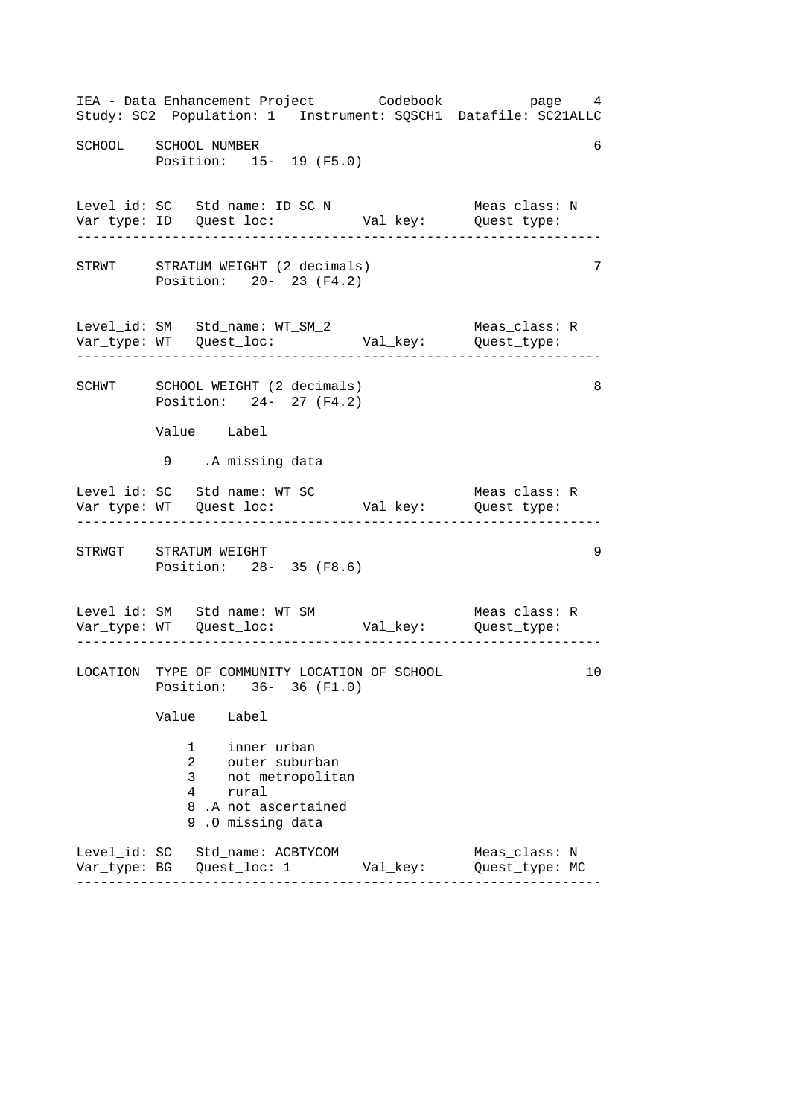------------------------------------------------------------------ ------------------------------------------------------------------ ------------------------------------------------------------------ ------------------------------------------------------------------ ------------------------------------------------------------------ IEA - Data Enhancement Project Codebook page 4 Study: SC2 Population: 1 Instrument: SQSCH1 Datafile: SC21ALLC SCHOOL SCHOOL NUMBER 6 Position: 15- 19 (F5.0) Level\_id: SC Std\_name: ID\_SC\_N Meas\_class: N Var\_type: ID Quest\_loc: Val\_key: Quest\_type: STRWT STRATUM WEIGHT (2 decimals) 7 Position: 20- 23 (F4.2) Level\_id: SM Std\_name: WT\_SM\_2 Meas\_class: R Var\_type: WT Quest\_loc: Val\_key: Quest\_type: SCHWT SCHOOL WEIGHT (2 decimals) 8 Position: 24- 27 (F4.2) Value Label 9 .A missing data Level\_id: SC Std\_name: WT\_SC Meas\_class: R Var\_type: WT Quest\_loc: Val\_key: Quest\_type: STRWGT STRATUM WEIGHT 39 Position: 28- 35 (F8.6) Level\_id: SM Std\_name: WT\_SM Meas\_class: R Var\_type: WT Quest\_loc: Val\_key: Quest\_type: LOCATION TYPE OF COMMUNITY LOCATION OF SCHOOL 10 Position: 36- 36 (F1.0) Value Label 1 inner urban 2 outer suburban 3 not metropolitan 4 rural 8 .A not ascertained 9 .O missing data Level\_id: SC Std\_name: ACBTYCOM Meas\_class: N Var\_type: BG Quest\_loc: 1 Val\_key: Quest\_type: MC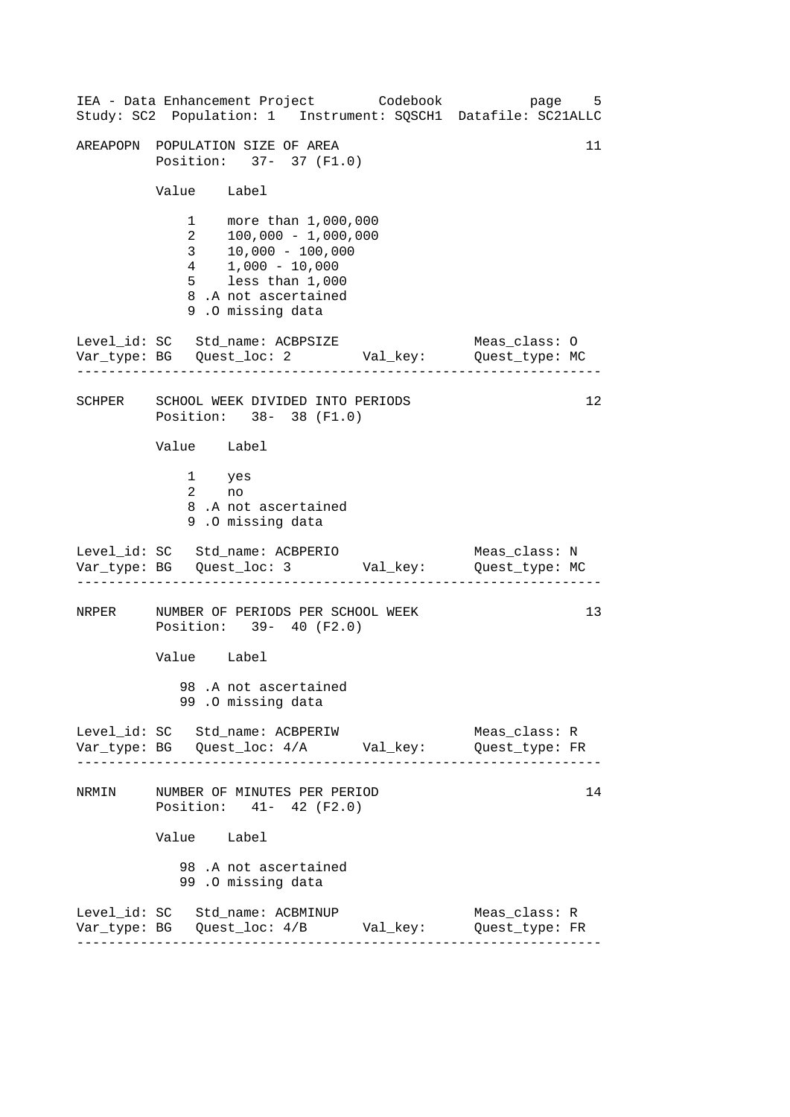------------------------------------------------------------------ ------------------------------------------------------------------ ------------------------------------------------------------------ ------------------------------------------------------------------ 11 IEA - Data Enhancement Project Codebook page 5 Study: SC2 Population: 1 Instrument: SQSCH1 Datafile: SC21ALLC AREAPOPN POPULATION SIZE OF AREA Position: 37- 37 (F1.0) Value Label 1 more than 1,000,000<br>2 100,000 - 1.000.000  $\begin{array}{r} 2 & 100,000 - 1,000,000 \\ 3 & 10,000 - 100.000 \end{array}$  $10,000 - 100,000$ 4 1,000 - 10,000 5 less than 1,000 8 .A not ascertained 9 .O missing data Level\_id: SC Std\_name: ACBPSIZE Meas\_class: O Var\_type: BG Quest\_loc: 2 Val\_key: Quest\_type: MC SCHPER SCHOOL WEEK DIVIDED INTO PERIODS 12 Position: 38- 38 (F1.0) Value Label 1 yes 2 no 8 .A not ascertained 9 .O missing data Level\_id: SC Std\_name: ACBPERIO Meas\_class: N Var\_type: BG Quest\_loc: 3 Val\_key: Quest\_type: MC NRPER NUMBER OF PERIODS PER SCHOOL WEEK 13 Position: 39- 40 (F2.0) Value Label 98 .A not ascertained 99 .O missing data Level\_id: SC Std\_name: ACBPERIW Meas\_class: R Var\_type: BG Quest\_loc: 4/A Val\_key: Quest\_type: FR NRMIN NUMBER OF MINUTES PER PERIOD 14 Position: 41- 42 (F2.0) Value Label 98 .A not ascertained 99 .O missing data Level\_id: SC Std\_name: ACBMINUP Meas\_class: R Var\_type: BG Quest\_loc: 4/B Val\_key: Quest\_type: FR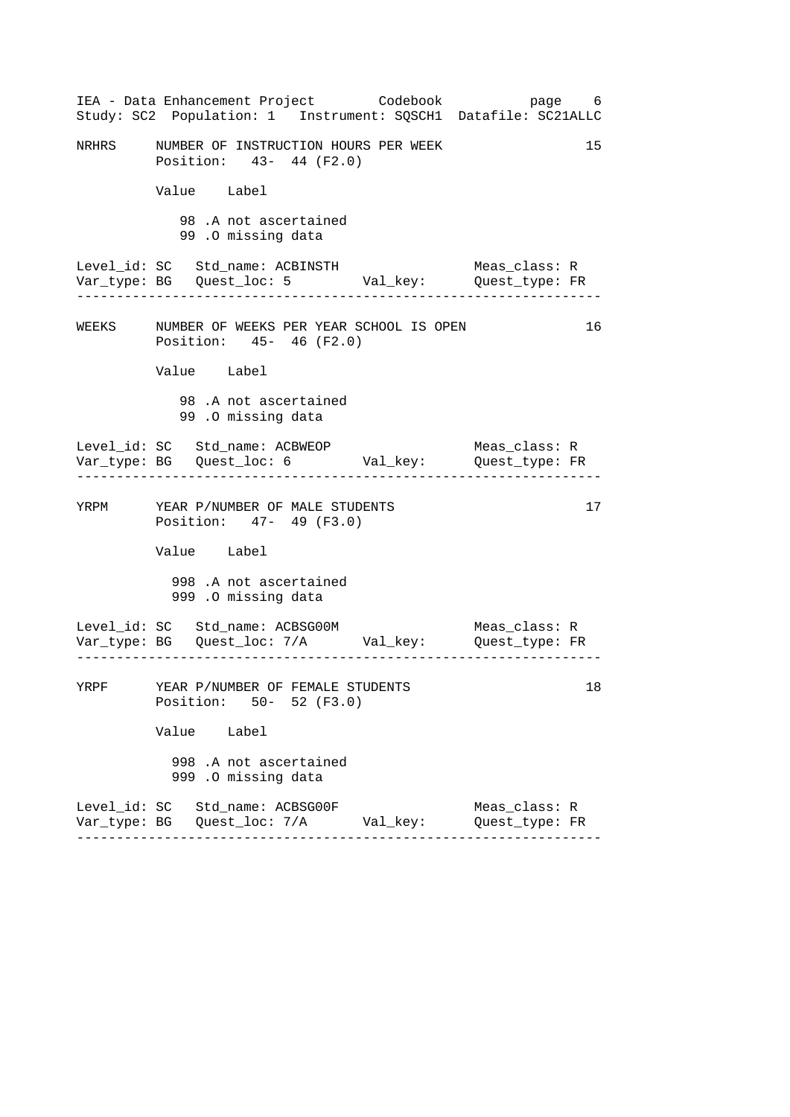------------------------------------------------------------------ ------------------------------------------------------------------ ------------------------------------------------------------------ ------------------------------------------------------------------ IEA - Data Enhancement Project Codebook page 6 Study: SC2 Population: 1 Instrument: SQSCH1 Datafile: SC21ALLC NRHRS MUMBER OF INSTRUCTION HOURS PER WEEK 15 Position: 43- 44 (F2.0) Value Label 98 .A not ascertained 99 .O missing data Level\_id: SC Std\_name: ACBINSTH Meas\_class: R Var\_type: BG Quest\_loc: 5 Val\_key: Quest\_type: FR WEEKS NUMBER OF WEEKS PER YEAR SCHOOL IS OPEN 16 Position: 45- 46 (F2.0) Value Label 98 .A not ascertained 99 .O missing data Level\_id: SC Std\_name: ACBWEOP Meas\_class: R Var\_type: BG Quest\_loc: 6 Val\_key: Quest\_type: FR YRPM YEAR P/NUMBER OF MALE STUDENTS 17 Position: 47- 49 (F3.0) Value Label 998 .A not ascertained 999 .O missing data Level\_id: SC Std\_name: ACBSG00M Meas\_class: R Var\_type: BG Quest\_loc: 7/A Val\_key: Quest\_type: FR YRPF YEAR P/NUMBER OF FEMALE STUDENTS 18 Position: 50- 52 (F3.0) Value Label 998 .A not ascertained 999 .O missing data Level\_id: SC Std\_name: ACBSG00F Meas\_class: R Var\_type: BG Quest\_loc: 7/A Val\_key: Quest\_type: FR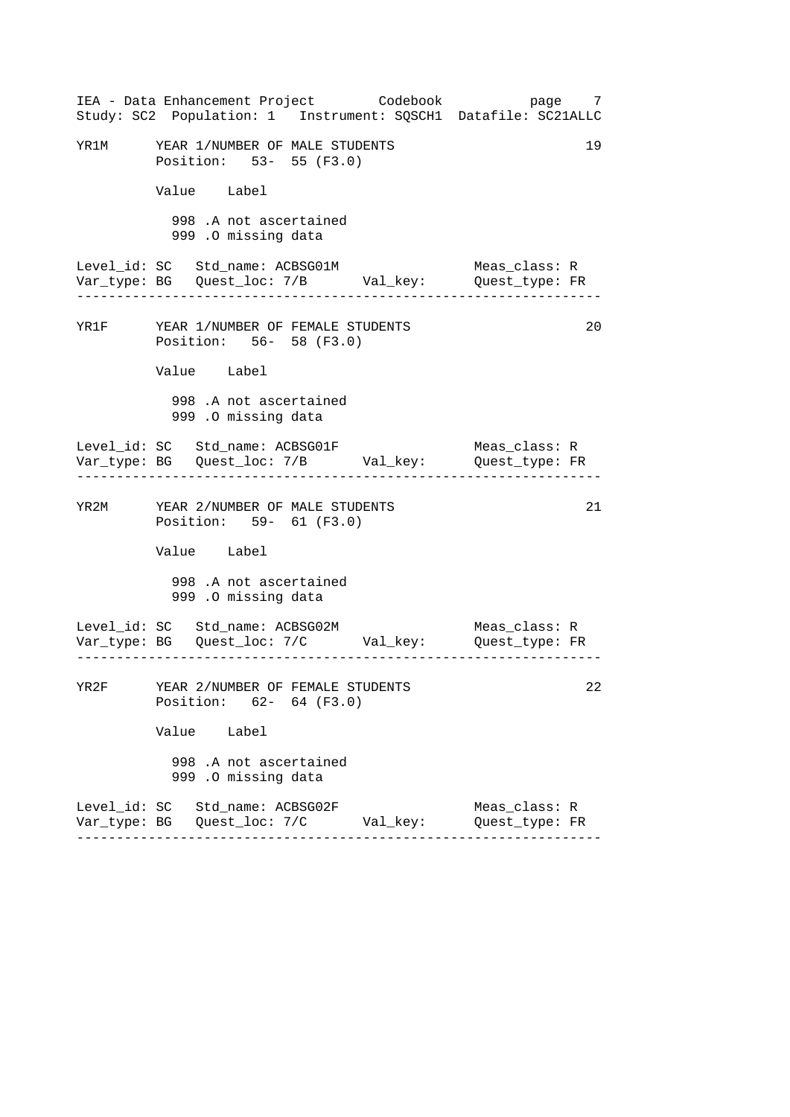|                                       |                                  |                                               |                         | IEA - Data Enhancement Project       Codebook  | page 7<br>Study: SC2 Population: 1 Instrument: SQSCH1 Datafile: SC21ALLC |    |
|---------------------------------------|----------------------------------|-----------------------------------------------|-------------------------|------------------------------------------------|--------------------------------------------------------------------------|----|
| YR1M YEAR 1/NUMBER OF MALE STUDENTS   | Position: 53- 55 (F3.0)          |                                               |                         |                                                |                                                                          | 19 |
|                                       | Value Label                      |                                               |                         |                                                |                                                                          |    |
|                                       |                                  | 998 .A not ascertained<br>999 .O missing data |                         |                                                |                                                                          |    |
| Level_id: SC   Std_name: ACBSG01M     | .                                |                                               |                         |                                                | Meas_class: R                                                            |    |
| YR1F YEAR 1/NUMBER OF FEMALE STUDENTS | Position: 56- 58 (F3.0)          |                                               |                         |                                                |                                                                          | 20 |
|                                       | Value Label                      |                                               |                         |                                                |                                                                          |    |
|                                       |                                  | 998 .A not ascertained<br>999 .O missing data |                         |                                                |                                                                          |    |
| Level_id: SC   Std_name: ACBSG01F     |                                  |                                               |                         |                                                | Meas_class: R                                                            |    |
| YR2M YEAR 2/NUMBER OF MALE STUDENTS   | Position: 59- 61 (F3.0)          |                                               |                         |                                                |                                                                          | 21 |
|                                       | Value Label                      |                                               |                         |                                                |                                                                          |    |
|                                       |                                  | 998 .A not ascertained<br>999 .O missing data |                         |                                                |                                                                          |    |
| Level_id: SC Std_name: ACBSG02M       |                                  |                                               |                         |                                                | Meas_class: R                                                            |    |
| YR2F                                  | YEAR 2/NUMBER OF FEMALE STUDENTS |                                               | Position: 62- 64 (F3.0) |                                                |                                                                          | 22 |
|                                       | Value Label                      |                                               |                         |                                                |                                                                          |    |
|                                       |                                  | 998 .A not ascertained<br>999 .O missing data |                         |                                                |                                                                          |    |
| Level_id: SC Std_name: ACBSG02F       |                                  |                                               |                         | Var_type: BG   Quest_loc: 7/C         Val_key: | Meas_class: R<br>Quest_type: FR                                          |    |
|                                       |                                  |                                               |                         |                                                |                                                                          |    |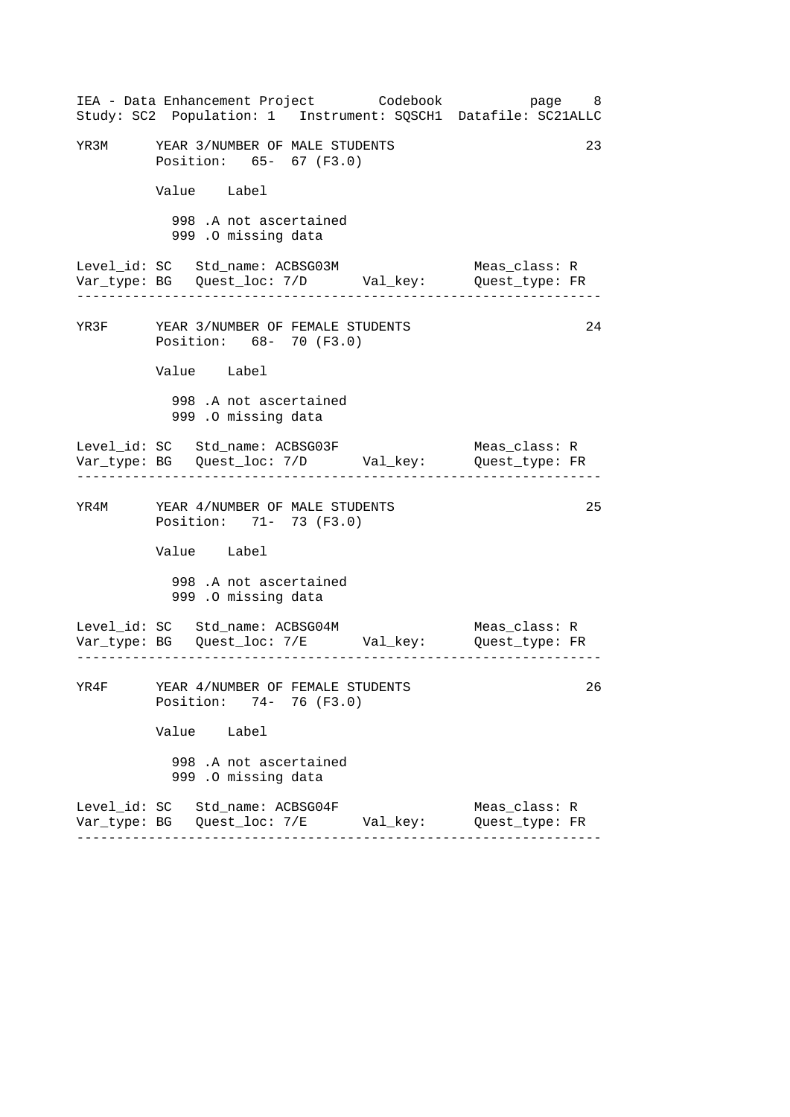|      | IEA - Data Enhancement Project       Codebook                                     |  | Study: SC2 Population: 1 Instrument: SQSCH1 Datafile: SC21ALLC | page 8 |
|------|-----------------------------------------------------------------------------------|--|----------------------------------------------------------------|--------|
|      | YR3M YEAR 3/NUMBER OF MALE STUDENTS<br>Position: 65- 67 (F3.0)                    |  |                                                                | 23     |
|      | Value Label                                                                       |  |                                                                |        |
|      | 998 .A not ascertained<br>999 .O missing data                                     |  |                                                                |        |
|      | Level_id: SC   Std_name: ACBSG03M<br>. _ _ _ _ _ _ _ _ _ _ _ _ _ _ _              |  | Meas_class: R                                                  |        |
|      | YR3F YEAR 3/NUMBER OF FEMALE STUDENTS<br>Position: 68- 70 (F3.0)                  |  |                                                                | 24     |
|      | Value Label                                                                       |  |                                                                |        |
|      | 998 .A not ascertained<br>999 .O missing data                                     |  |                                                                |        |
|      | Level_id: SC   Std_name: ACBSG03F                                                 |  | Meas_class: R                                                  |        |
|      | YR4M YEAR 4/NUMBER OF MALE STUDENTS<br>Position: 71- 73 (F3.0)                    |  |                                                                | 25     |
|      | Value Label                                                                       |  |                                                                |        |
|      | 998 .A not ascertained<br>999 .O missing data                                     |  |                                                                |        |
|      | Level_id: SC Std_name: ACBSG04M                                                   |  | Meas_class: R                                                  |        |
| YR4F | YEAR 4/NUMBER OF FEMALE STUDENTS<br>Position: 74- 76 (F3.0)                       |  |                                                                | 26     |
|      | Value Label                                                                       |  |                                                                |        |
|      | 998 .A not ascertained<br>999 .O missing data                                     |  |                                                                |        |
|      | Level_id: SC Std_name: ACBSG04F<br>Var_type: BG   Quest_loc: 7/E         Val_key: |  | Meas_class: R<br>Quest_type: FR                                |        |
|      |                                                                                   |  |                                                                |        |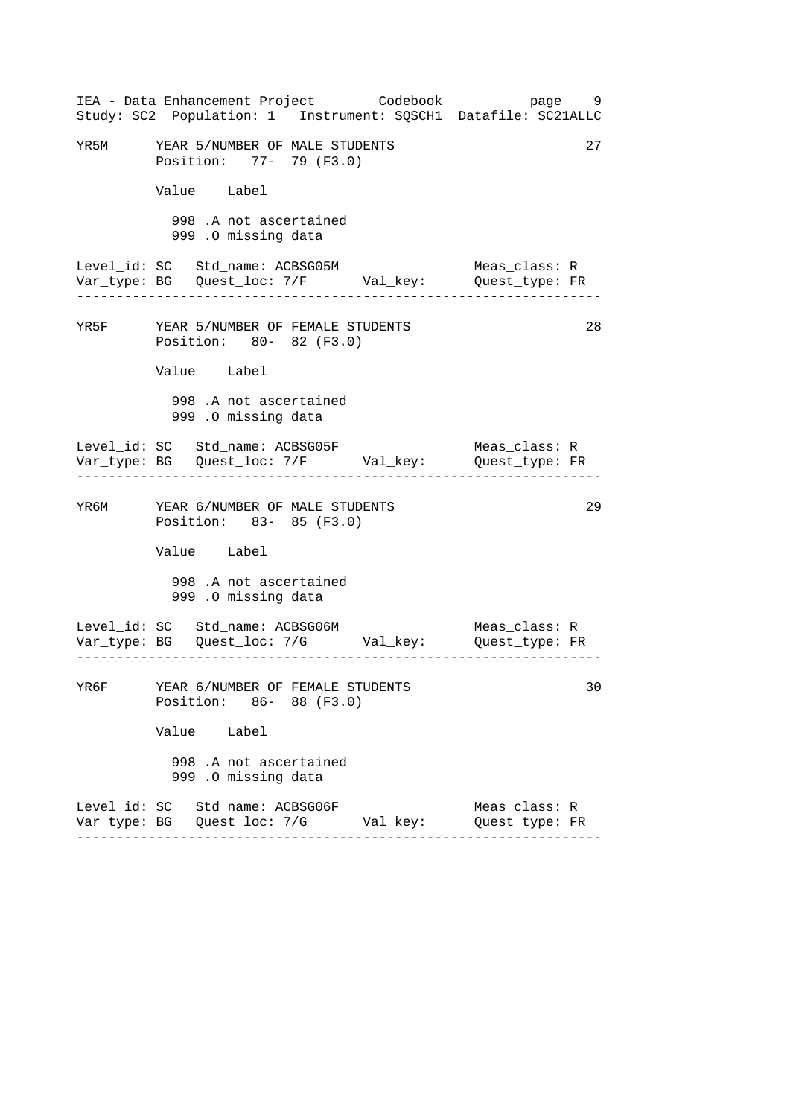|      |                                                                  | IEA - Data Enhancement Project Codebook          | page 9<br>Study: SC2 Population: 1 Instrument: SQSCH1 Datafile: SC21ALLC |    |
|------|------------------------------------------------------------------|--------------------------------------------------|--------------------------------------------------------------------------|----|
|      | YR5M YEAR 5/NUMBER OF MALE STUDENTS<br>Position: 77- 79 (F3.0)   |                                                  |                                                                          | 27 |
|      | Value Label                                                      |                                                  |                                                                          |    |
|      | 998 .A not ascertained<br>999 .O missing data                    |                                                  |                                                                          |    |
|      | Level_id: SC Std_name: ACBSG05M                                  |                                                  | Meas_class: R                                                            |    |
|      | YR5F YEAR 5/NUMBER OF FEMALE STUDENTS<br>Position: 80- 82 (F3.0) |                                                  |                                                                          | 28 |
|      | Value Label                                                      |                                                  |                                                                          |    |
|      | 998 .A not ascertained<br>999 .O missing data                    |                                                  |                                                                          |    |
|      | Level_id: SC Std_name: ACBSG05F                                  |                                                  | Meas_class: R                                                            |    |
|      | YR6M YEAR 6/NUMBER OF MALE STUDENTS<br>Position: 83- 85 (F3.0)   |                                                  |                                                                          | 29 |
|      | Value Label                                                      |                                                  |                                                                          |    |
|      | 998 .A not ascertained<br>999 .O missing data                    |                                                  |                                                                          |    |
|      | Level_id: SC Std_name: ACBSG06M                                  |                                                  | Meas_class: R                                                            |    |
| YR6F | YEAR 6/NUMBER OF FEMALE STUDENTS<br>Position: 86- 88 (F3.0)      |                                                  |                                                                          | 30 |
|      | Value Label                                                      |                                                  |                                                                          |    |
|      | 998 .A not ascertained<br>999 .O missing data                    |                                                  |                                                                          |    |
|      | Level_id: SC Std_name: ACBSG06F                                  | Var_type: BG    Quest_loc: 7/G          Val_key: | Meas_class: R<br>Quest_type: FR                                          |    |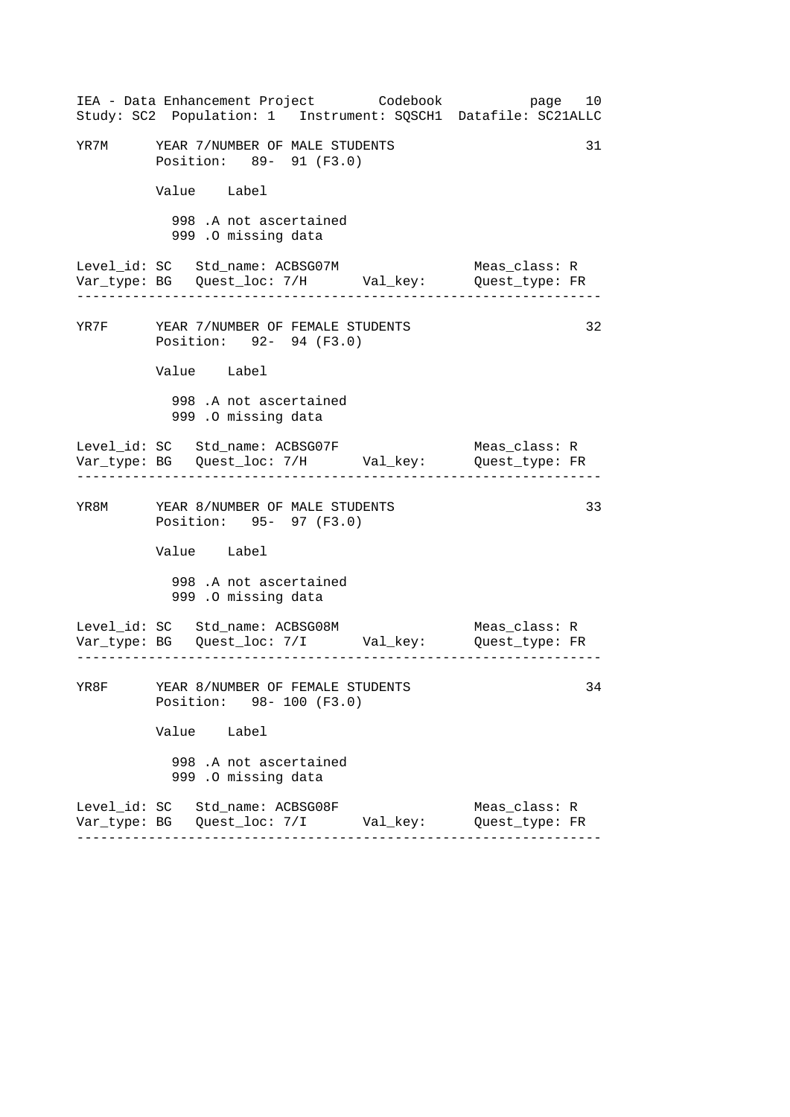|                                       |                                                              |                                               | IEA - Data Enhancement Project Codebook          | page 10<br>Study: SC2 Population: 1 Instrument: SQSCH1 Datafile: SC21ALLC |    |
|---------------------------------------|--------------------------------------------------------------|-----------------------------------------------|--------------------------------------------------|---------------------------------------------------------------------------|----|
| YR7M YEAR 7/NUMBER OF MALE STUDENTS   | Position: 89- 91 (F3.0)                                      |                                               |                                                  |                                                                           | 31 |
|                                       | Value Label                                                  |                                               |                                                  |                                                                           |    |
|                                       |                                                              | 998 .A not ascertained<br>999 .O missing data |                                                  |                                                                           |    |
| Level_id: SC Std_name: ACBSG07M       |                                                              |                                               |                                                  | Meas_class: R                                                             |    |
| YR7F YEAR 7/NUMBER OF FEMALE STUDENTS | Position: 92- 94 (F3.0)                                      |                                               |                                                  |                                                                           | 32 |
|                                       | Value Label                                                  |                                               |                                                  |                                                                           |    |
|                                       |                                                              | 998 .A not ascertained<br>999 .0 missing data |                                                  |                                                                           |    |
| Level_id: SC Std_name: ACBSG07F       |                                                              |                                               |                                                  | Meas_class: R                                                             |    |
| YR8M YEAR 8/NUMBER OF MALE STUDENTS   | Position: 95- 97 (F3.0)                                      |                                               |                                                  |                                                                           | 33 |
|                                       | Value Label                                                  |                                               |                                                  |                                                                           |    |
|                                       |                                                              | 998 .A not ascertained<br>999 .O missing data |                                                  |                                                                           |    |
| Level_id: SC Std_name: ACBSG08M       |                                                              |                                               |                                                  | Meas_class: R                                                             |    |
| YR8F                                  | YEAR 8/NUMBER OF FEMALE STUDENTS<br>Position: 98- 100 (F3.0) |                                               |                                                  |                                                                           | 34 |
|                                       | Value Label                                                  |                                               |                                                  |                                                                           |    |
|                                       |                                                              | 998 .A not ascertained<br>999 .O missing data |                                                  |                                                                           |    |
| Level_id: SC Std_name: ACBSG08F       |                                                              |                                               | Var_type: BG    Quest_loc: 7/I          Val_key: | Meas_class: R<br>Quest_type: FR                                           |    |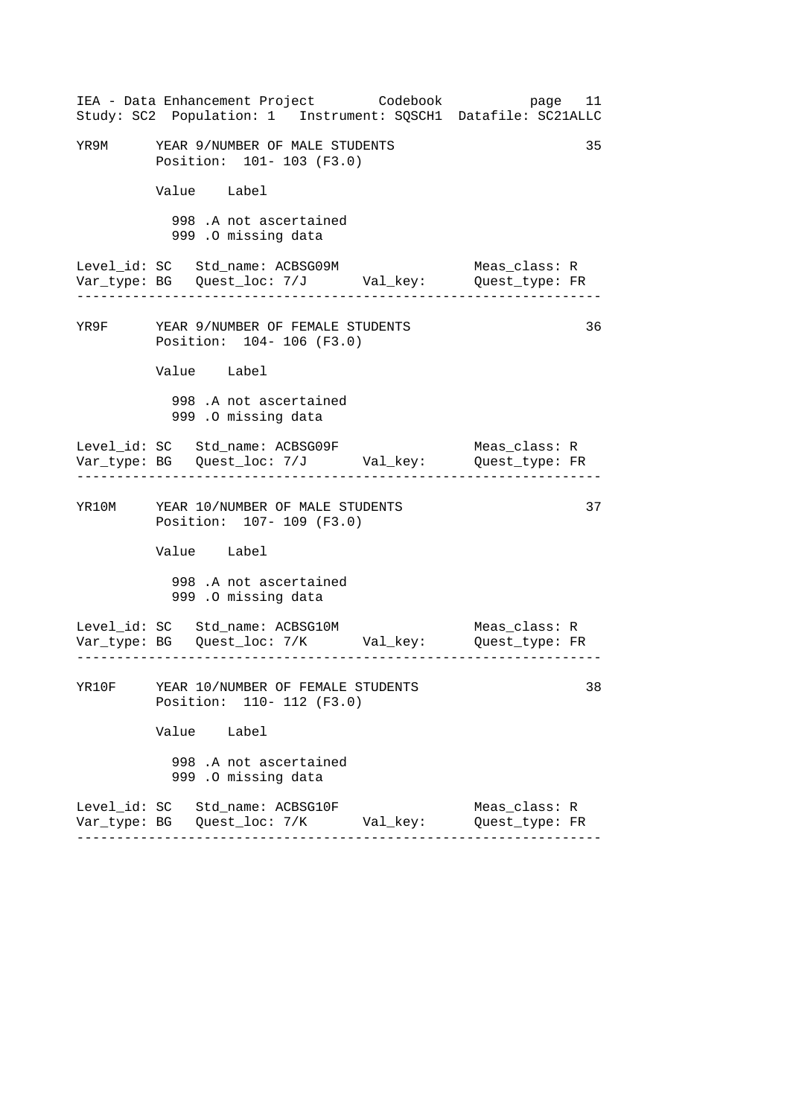|  |                                                                      | IEA - Data Enhancement Project Codebook         | Study: SC2 Population: 1 Instrument: SQSCH1 Datafile: SC21ALLC                         | page 11 |
|--|----------------------------------------------------------------------|-------------------------------------------------|----------------------------------------------------------------------------------------|---------|
|  | YR9M YEAR 9/NUMBER OF MALE STUDENTS<br>Position: 101- 103 (F3.0)     |                                                 |                                                                                        | 35      |
|  | Value Label                                                          |                                                 |                                                                                        |         |
|  | 998 .A not ascertained<br>999 .O missing data                        |                                                 |                                                                                        |         |
|  | Level_id: SC Std_name: ACBSG09M<br>. _ _ _ _ _ _ _ _ _ _ _ _ _       |                                                 | Meas_class: R                                                                          |         |
|  | YR9F YEAR 9/NUMBER OF FEMALE STUDENTS<br>Position: 104-106 (F3.0)    |                                                 |                                                                                        | 36      |
|  | Value Label                                                          |                                                 |                                                                                        |         |
|  | 998 .A not ascertained<br>999 .O missing data                        |                                                 |                                                                                        |         |
|  | ----------------------------------                                   |                                                 | Meas_class: R<br>-------------------------                                             |         |
|  | YR10M YEAR 10/NUMBER OF MALE STUDENTS<br>Position: 107- 109 (F3.0)   |                                                 |                                                                                        | 37      |
|  | Value Label                                                          |                                                 |                                                                                        |         |
|  | 998 .A not ascertained<br>999 .O missing data                        |                                                 |                                                                                        |         |
|  | Level_id: SC Std_name: ACBSG10M                                      |                                                 | Meas_class: R<br>Var_type: BG    Quest_loc: 7/K         Val_key:        Quest_type: FR |         |
|  | YR10F YEAR 10/NUMBER OF FEMALE STUDENTS<br>Position: 110- 112 (F3.0) |                                                 |                                                                                        | 38      |
|  | Value Label                                                          |                                                 |                                                                                        |         |
|  | 998 .A not ascertained<br>999 .O missing data                        |                                                 |                                                                                        |         |
|  | Level_id: SC   Std_name: ACBSG10F                                    | Var_type: BG    Quest_loc: 7/K         Val_key: | Meas_class: R<br>Quest type: FR                                                        |         |
|  |                                                                      |                                                 |                                                                                        |         |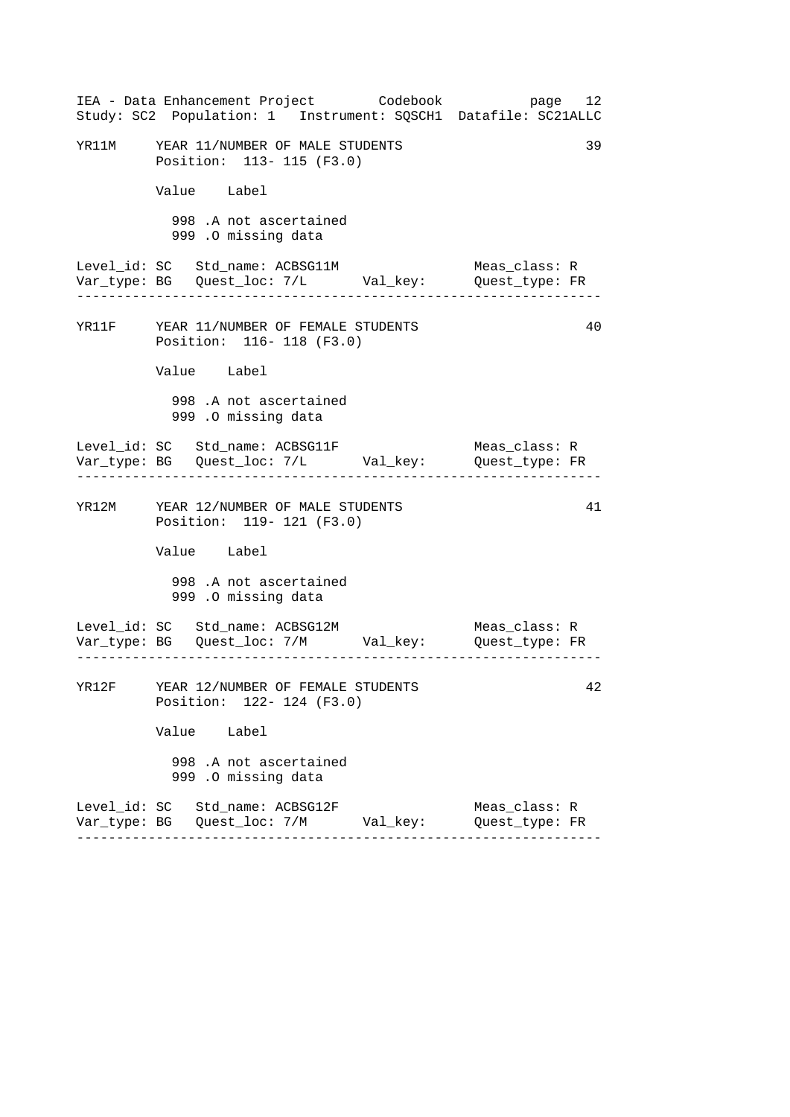| IEA - Data Enhancement Project Codebook<br>Study: SC2 Population: 1 Instrument: SQSCH1 Datafile: SC21ALLC |  | page 12                         |    |
|-----------------------------------------------------------------------------------------------------------|--|---------------------------------|----|
| YR11M YEAR 11/NUMBER OF MALE STUDENTS<br>Position: 113- 115 (F3.0)                                        |  |                                 | 39 |
| Value Label                                                                                               |  |                                 |    |
| 998 .A not ascertained<br>999 .O missing data                                                             |  |                                 |    |
| Level_id: SC Std_name: ACBSG11M                                                                           |  | Meas_class: R                   |    |
| YR11F YEAR 11/NUMBER OF FEMALE STUDENTS<br>Position: 116- 118 (F3.0)                                      |  |                                 | 40 |
| Value Label                                                                                               |  |                                 |    |
| 998 .A not ascertained<br>999 .O missing data                                                             |  |                                 |    |
|                                                                                                           |  | Meas_class: R                   |    |
| YR12M YEAR 12/NUMBER OF MALE STUDENTS<br>Position: 119- 121 (F3.0)                                        |  |                                 | 41 |
| Value Label                                                                                               |  |                                 |    |
| 998 .A not ascertained<br>999 .O missing data                                                             |  |                                 |    |
|                                                                                                           |  |                                 |    |
| YR12F YEAR 12/NUMBER OF FEMALE STUDENTS<br>Position: 122- 124 (F3.0)                                      |  |                                 | 42 |
| Value Label                                                                                               |  |                                 |    |
| 998 .A not ascertained<br>999 .O missing data                                                             |  |                                 |    |
| Level_id: SC Std_name: ACBSG12F                                                                           |  | Meas_class: R<br>Quest_type: FR |    |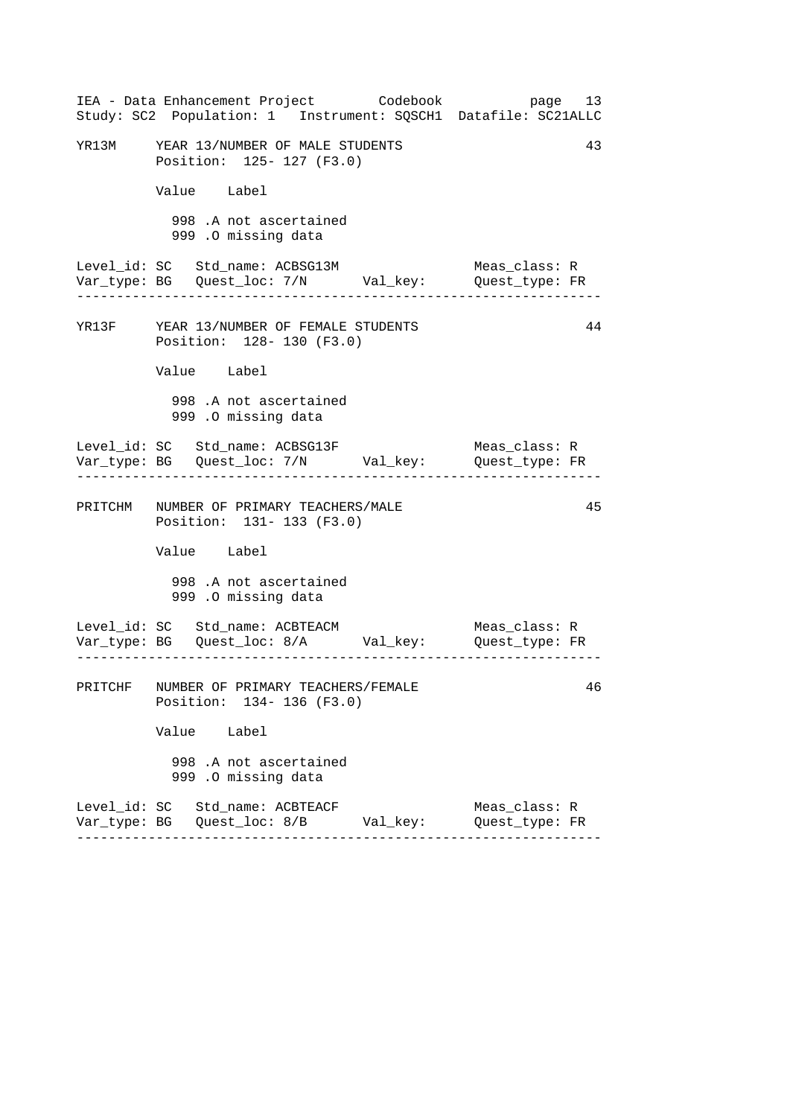| IEA - Data Enhancement Project Codebook<br>Study: SC2 Population: 1 Instrument: SQSCH1 Datafile: SC21ALLC               | page 13                         |
|-------------------------------------------------------------------------------------------------------------------------|---------------------------------|
| YR13M YEAR 13/NUMBER OF MALE STUDENTS<br>Position: 125- 127 (F3.0)                                                      | 43                              |
| Value Label                                                                                                             |                                 |
| 998 .A not ascertained<br>999 .0 missing data                                                                           |                                 |
| Level_id: SC Std_name: ACBSG13M                                                                                         | Meas_class: R                   |
| YR13F YEAR 13/NUMBER OF FEMALE STUDENTS<br>Position: 128- 130 (F3.0)                                                    | 44                              |
| Value Label                                                                                                             |                                 |
| 998 .A not ascertained<br>999 .O missing data                                                                           |                                 |
|                                                                                                                         | Meas_class: R                   |
| PRITCHM NUMBER OF PRIMARY TEACHERS/MALE<br>Position: 131- 133 (F3.0)                                                    | 45                              |
| Value Label                                                                                                             |                                 |
| 998 .A not ascertained<br>999 .O missing data                                                                           |                                 |
| Level_id: SC Std_name: ACBTEACM<br>__ __ __ __<br>Var_type: BG    Quest_loc: 8/A         Val_key:        Quest_type: FR | Meas_class: R                   |
| PRITCHF NUMBER OF PRIMARY TEACHERS/FEMALE<br>Position: 134- 136 (F3.0)                                                  | 46                              |
| Value Label                                                                                                             |                                 |
| 998 .A not ascertained<br>999 .O missing data                                                                           |                                 |
| Level_id: SC Std_name: ACBTEACF<br>Var_type: BG   Quest_loc: 8/B        Val_key:                                        | Meas_class: R<br>Quest_type: FR |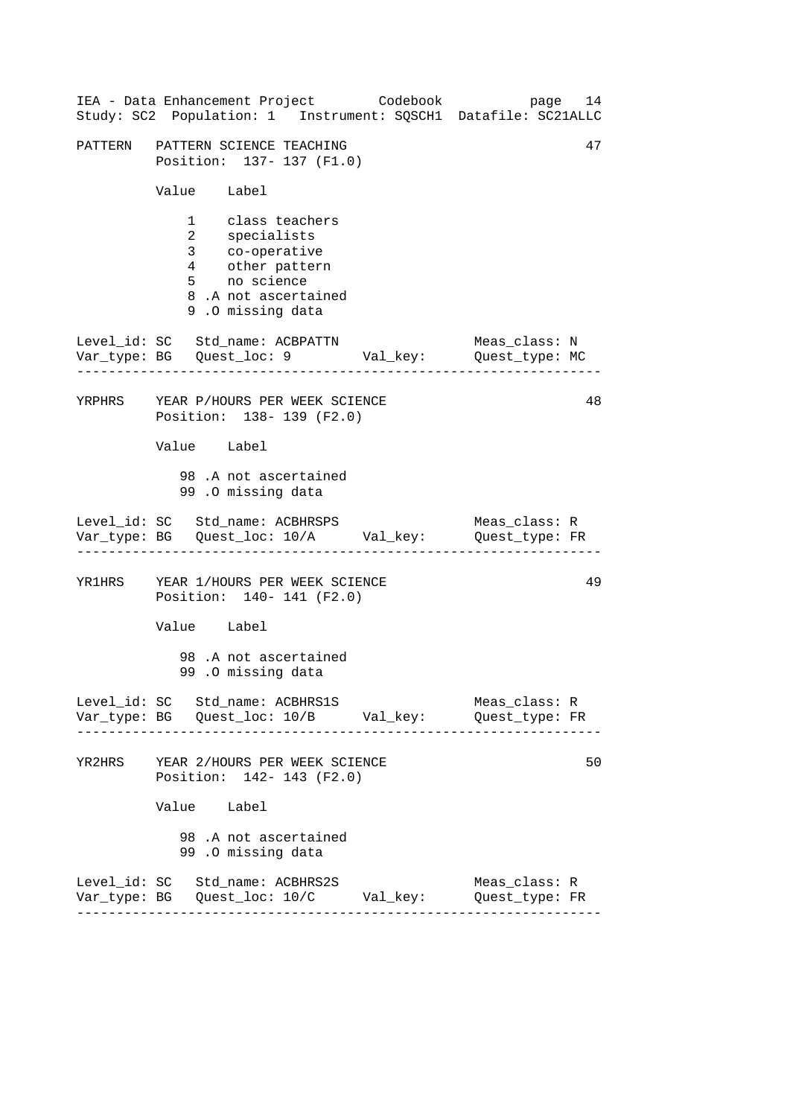|        | IEA - Data Enhancement Project Codebook<br>Study: SC2 Population: 1 Instrument: SQSCH1 Datafile: SC21ALLC                              | page 14                         |
|--------|----------------------------------------------------------------------------------------------------------------------------------------|---------------------------------|
|        | PATTERN PATTERN SCIENCE TEACHING<br>Position: 137- 137 (F1.0)                                                                          | 47                              |
|        | Value Label                                                                                                                            |                                 |
|        | 1 class teachers<br>2<br>3 specialists<br>3 co-operative<br>4 other pattern<br>5 no science<br>8.A not ascertained<br>9.0 missing data |                                 |
|        | Level_id: SC Std_name: ACBPATTN<br>Level_ia: SC Sta_name: ACBPATTN Meas_class: N<br>Var_type: BG Quest_loc: 9 Val_key: Quest_type: MC  | Meas_class: N                   |
|        | YRPHRS YEAR P/HOURS PER WEEK SCIENCE<br>Position: 138- 139 (F2.0)                                                                      | 48                              |
|        | Value Label                                                                                                                            |                                 |
|        | 98.A not ascertained<br>99.0 missing data                                                                                              |                                 |
|        | Level_id: SC Std_name: ACBHRSPS<br>Var_type: BG    Quest_loc: 10/A    Val_key:    Quest_type: FR                                       | Meas_class: R                   |
|        | YR1HRS YEAR 1/HOURS PER WEEK SCIENCE<br>Position: 140- 141 (F2.0)                                                                      | 49                              |
|        | Value Label                                                                                                                            |                                 |
|        | 98 .A not ascertained<br>99.0 missing data                                                                                             |                                 |
|        | Level_id: SC Std_name: ACBHRS1S                                                                                                        | Meas_class: R<br>Quest_type: FR |
| YR2HRS | YEAR 2/HOURS PER WEEK SCIENCE<br>Position: 142- 143 (F2.0)                                                                             | 50                              |
|        | Value Label                                                                                                                            |                                 |
|        | 98.A not ascertained<br>99.0 missing data                                                                                              |                                 |
|        | Level_id: SC Std_name: ACBHRS2S                                                                                                        | Meas_class: R<br>Quest_type: FR |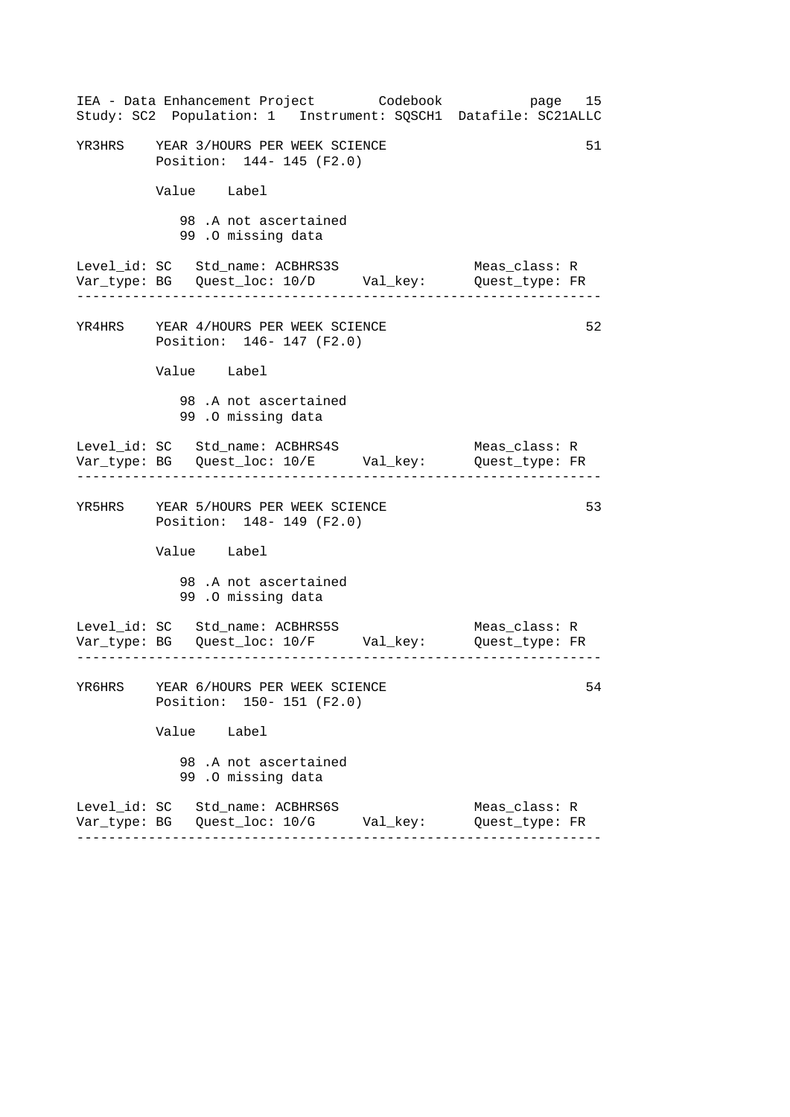| IEA - Data Enhancement Project Codebook<br>Study: SC2 Population: 1 Instrument: SQSCH1 Datafile: SC21ALLC | page 15                         |
|-----------------------------------------------------------------------------------------------------------|---------------------------------|
| YR3HRS YEAR 3/HOURS PER WEEK SCIENCE<br>Position: 144- 145 (F2.0)                                         | 51                              |
| Value Label                                                                                               |                                 |
| 98.A not ascertained<br>99.0 missing data                                                                 |                                 |
| Level_id: SC Std_name: ACBHRS3S<br>Var_type: BG    Quest_loc: 10/D    Val_key:    Quest_type: FR          | Meas_class: R                   |
| YR4HRS YEAR 4/HOURS PER WEEK SCIENCE<br>Position: 146- 147 (F2.0)                                         | 52                              |
| Value Label                                                                                               |                                 |
| 98.A not ascertained<br>99.0 missing data                                                                 |                                 |
| Level_id: SC Std_name: ACBHRS4S<br>Var_type: BG    Quest_loc: 10/E    Val_key:    Quest_type: FR          | Meas_class: R                   |
| YR5HRS YEAR 5/HOURS PER WEEK SCIENCE<br>Position: 148- 149 (F2.0)                                         | 53                              |
| Value Label                                                                                               |                                 |
| 98.A not ascertained<br>99.0 missing data                                                                 |                                 |
| Level_id: SC Std_name: ACBHRS5S Meas_class: R<br>Var_type: BG Quest_loc: 10/F Val_key: Quest_type: FR     |                                 |
| YR6HRS YEAR 6/HOURS PER WEEK SCIENCE<br>Position: 150- 151 (F2.0)                                         | 54                              |
| Value Label                                                                                               |                                 |
| 98.A not ascertained<br>99.0 missing data                                                                 |                                 |
| Level_id: SC Std_name: ACBHRS6S                                                                           | Meas_class: R<br>Quest type: FR |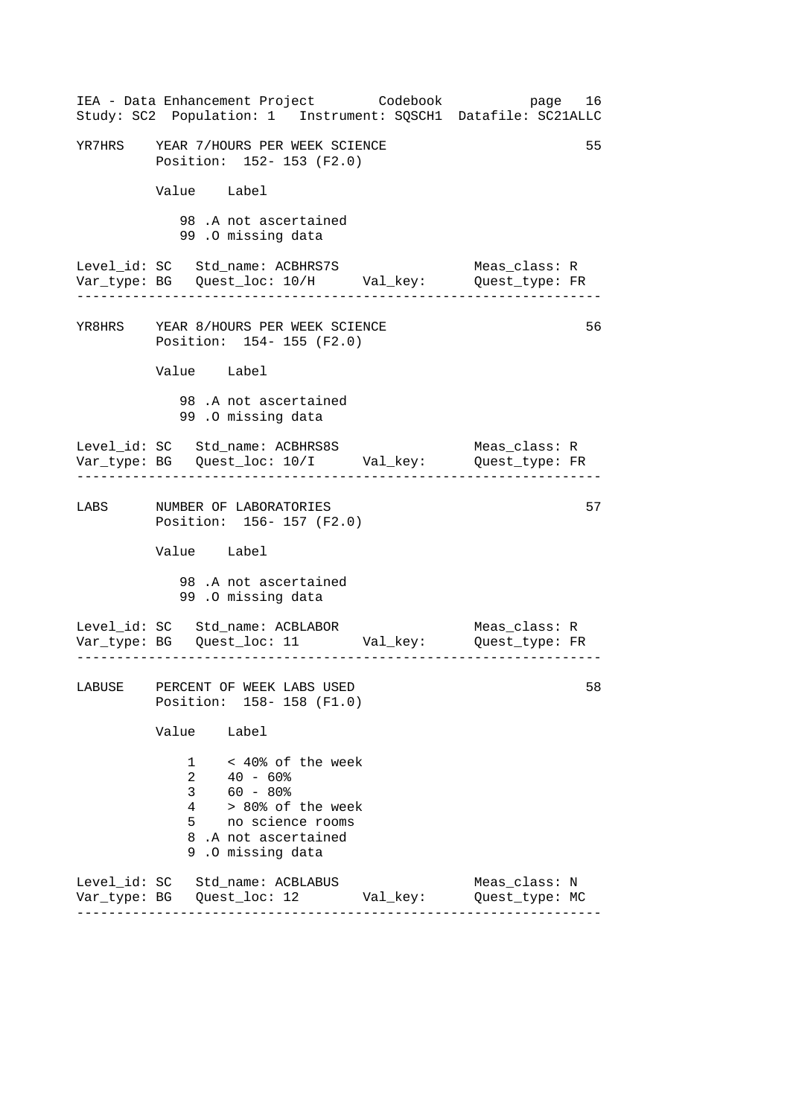| IEA - Data Enhancement Project Codebook<br>Study: SC2 Population: 1 Instrument: SQSCH1 Datafile: SC21ALLC                                                                       | page 16                            |
|---------------------------------------------------------------------------------------------------------------------------------------------------------------------------------|------------------------------------|
| YR7HRS YEAR 7/HOURS PER WEEK SCIENCE<br>Position: 152- 153 (F2.0)                                                                                                               | 55                                 |
| Value Label                                                                                                                                                                     |                                    |
| 98.A not ascertained<br>99.0 missing data                                                                                                                                       |                                    |
| Level_id: SC Std_name: ACBHRS7S<br>----------------------------------                                                                                                           | Meas_class: R<br>. <u>.</u>        |
| YR8HRS YEAR 8/HOURS PER WEEK SCIENCE<br>Position: 154- 155 (F2.0)                                                                                                               | 56                                 |
| Value Label                                                                                                                                                                     |                                    |
| 98.A not ascertained<br>99 .0 missing data                                                                                                                                      |                                    |
| Level_id: SC Std_name: ACBHRS8S                                                                                                                                                 | Meas_class: R<br>_________________ |
| LABS MUMBER OF LABORATORIES<br>Position: 156-157 (F2.0)                                                                                                                         | 57                                 |
| Value Label                                                                                                                                                                     |                                    |
| 98.A not ascertained<br>99 .0 missing data                                                                                                                                      |                                    |
| Level_id: SC Std_name: ACBLABOR                                                                                                                                                 | Meas_class: R                      |
| LABUSE PERCENT OF WEEK LABS USED<br>Position: 158-158 (F1.0)                                                                                                                    | 58                                 |
| Value Label                                                                                                                                                                     |                                    |
| < 40% of the week<br>40 - 60%<br>1<br>$\overline{2}$<br>$60 - 80%$<br>3 <sup>7</sup><br>> 80% of the week<br>4<br>5 no science rooms<br>8.A not ascertained<br>9.0 missing data |                                    |
| Level_id: SC Std_name: ACBLABUS<br>Var_type: BG    Quest_loc: 12           Val_key:        Quest_type: MC                                                                       | Meas_class: N                      |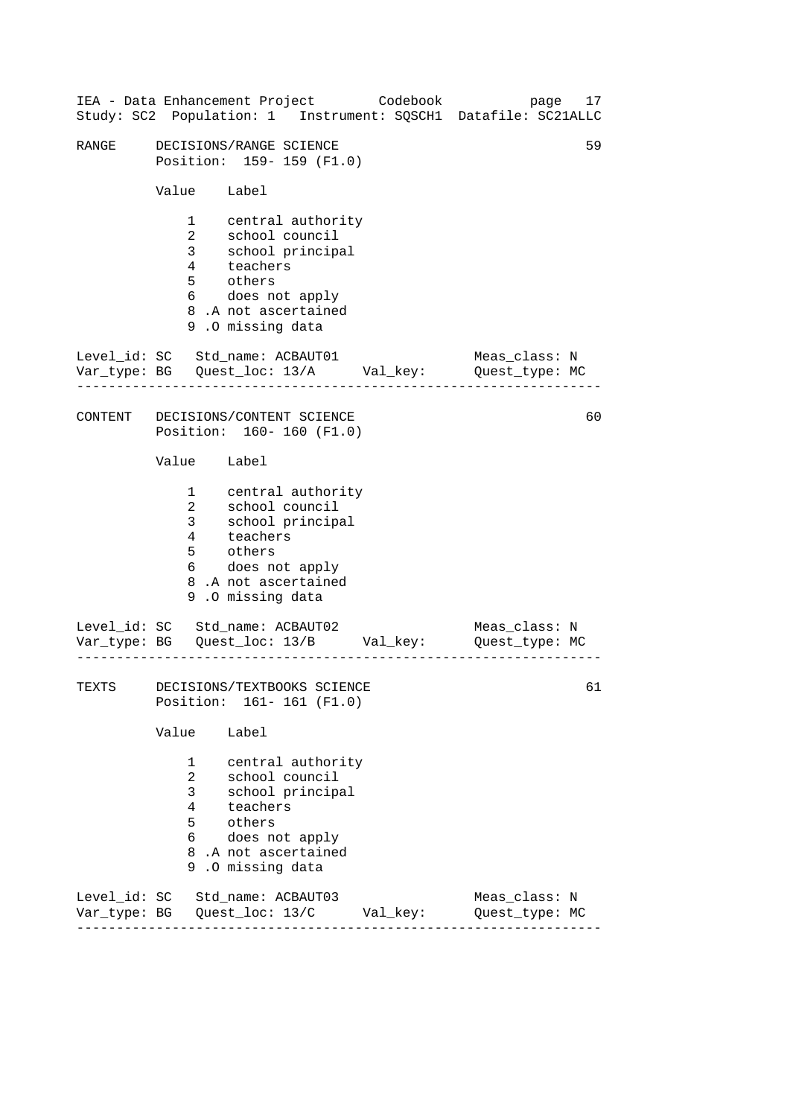|       |                                                                           | IEA - Data Enhancement Project Codebook<br>Study: SC2 Population: 1 Instrument: SQSCH1 Datafile: SC21ALLC                                                                  |  | page                            | 17 |
|-------|---------------------------------------------------------------------------|----------------------------------------------------------------------------------------------------------------------------------------------------------------------------|--|---------------------------------|----|
| RANGE |                                                                           | DECISIONS/RANGE SCIENCE<br>Position: 159- 159 (F1.0)                                                                                                                       |  |                                 | 59 |
|       | Value Label                                                               |                                                                                                                                                                            |  |                                 |    |
|       | $1 \quad \blacksquare$<br>$2^{\circ}$<br>3 <sup>7</sup><br>$\overline{4}$ | central authority<br>school council<br>school co<br>school pi<br>teachers<br>school principal<br>5 others<br>6 does not apply<br>8.A not ascertained<br>9.0 missing data   |  |                                 |    |
|       |                                                                           | Level_id: SC Std_name: ACBAUT01<br>Var_type: BG    Quest_loc: 13/A    Val_key:    Quest_type: MC                                                                           |  | Meas_class: N                   |    |
|       |                                                                           | CONTENT DECISIONS/CONTENT SCIENCE<br>Position: 160- 160 (F1.0)                                                                                                             |  |                                 | 60 |
|       | Value Label                                                               |                                                                                                                                                                            |  |                                 |    |
|       | $\mathbf{1}$<br>$\overline{2}$<br>3 <sup>7</sup><br>$\overline{4}$        | central authority<br>school council<br>school<br>teachers<br>thers<br>thers<br>school principal<br>5 others<br>6 does not apply<br>8.A not ascertained<br>9.0 missing data |  |                                 |    |
|       |                                                                           | Level_id: SC Std_name: ACBAUT02<br>Var_type: BG    Quest_loc: 13/B    Val_key:    Quest_type: MC                                                                           |  | Meas_class: N                   |    |
| TEXTS |                                                                           | DECISIONS/TEXTBOOKS SCIENCE<br>Position: 161-161 (F1.0)                                                                                                                    |  |                                 | 61 |
|       | Value                                                                     | Label                                                                                                                                                                      |  |                                 |    |
|       | $1 \quad \Box$<br>$\mathbf{2}$<br>3 <sup>7</sup><br>4<br>5<br>6           | central authority<br>school council<br>school principal<br>teachers<br>others<br>does not apply<br>8.A not ascertained<br>9.0 missing data                                 |  |                                 |    |
|       |                                                                           | Level_id: SC Std_name: ACBAUT03                                                                                                                                            |  | Meas_class: N<br>Quest_type: MC |    |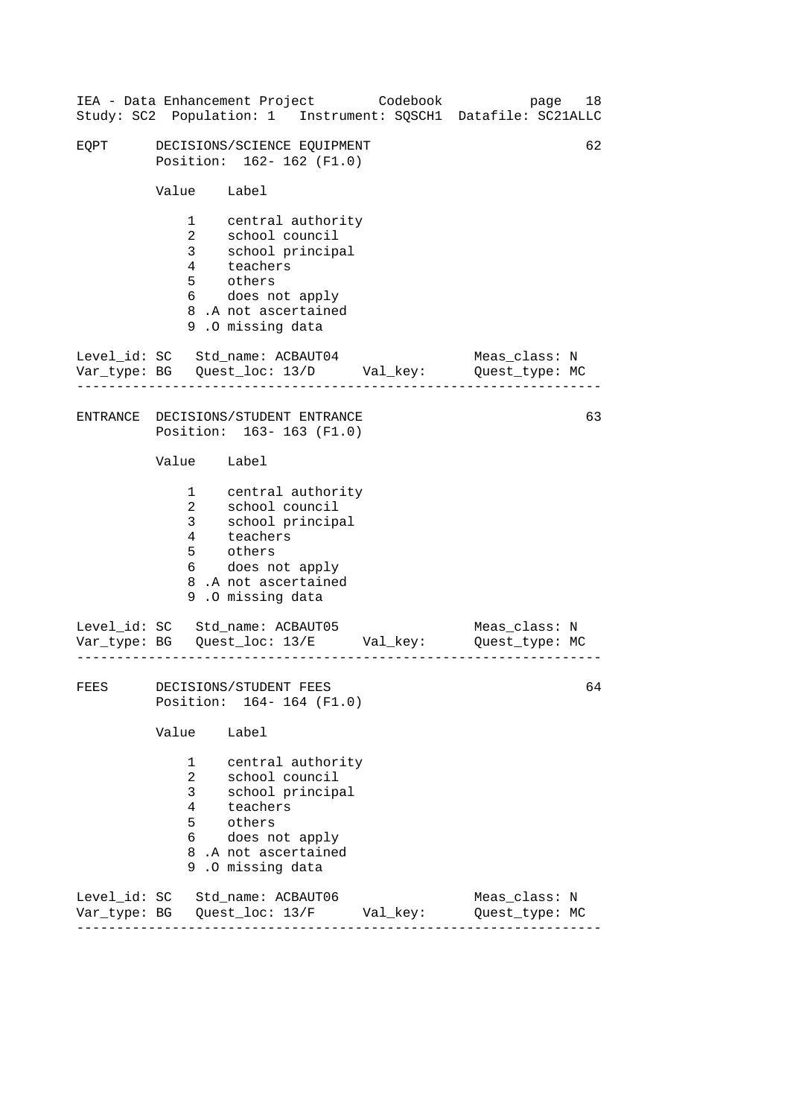|      |                                                         | IEA - Data Enhancement Project Codebook                                                                                                            |  |  | Study: SC2 Population: 1 Instrument: SQSCH1 Datafile: SC21ALLC                 | 18<br>page |  |
|------|---------------------------------------------------------|----------------------------------------------------------------------------------------------------------------------------------------------------|--|--|--------------------------------------------------------------------------------|------------|--|
| EQPT | DECISIONS/SCIENCE EQUIPMENT<br>Position: 162-162 (F1.0) |                                                                                                                                                    |  |  |                                                                                |            |  |
|      | Value Label                                             |                                                                                                                                                    |  |  |                                                                                |            |  |
|      | $\overline{2}$<br>3 <sup>7</sup>                        | 1 central authority<br>school council<br>school principal<br>4 teachers<br>5 others<br>6 does not apply<br>8.A not ascertained<br>9.0 missing data |  |  |                                                                                |            |  |
|      |                                                         | Level_id: SC Std_name: ACBAUT04                                                                                                                    |  |  | Meas_class: N<br>Var_type: BG    Quest_loc: 13/D    Val_key:    Quest_type: MC |            |  |
|      |                                                         | ENTRANCE DECISIONS/STUDENT ENTRANCE<br>Position: 163-163 (F1.0)                                                                                    |  |  |                                                                                | 63         |  |
|      | Value Label                                             |                                                                                                                                                    |  |  |                                                                                |            |  |
|      | $\overline{2}$<br>3 <sup>7</sup><br>4<br>5              | 1 central authority<br>school council<br>school principal<br>teachers<br>others<br>6 does not apply<br>8.A not ascertained<br>9.0 missing data     |  |  |                                                                                |            |  |
|      |                                                         | Level_id: SC Std_name: ACBAUT05                                                                                                                    |  |  | Meas_class: N<br>Var_type: BG    Quest_loc: 13/E    Val_key:    Quest_type: MC |            |  |
| FEES |                                                         | DECISIONS/STUDENT FEES<br>Position: 164-164 (F1.0)                                                                                                 |  |  |                                                                                | 64         |  |
|      | Value                                                   | Label                                                                                                                                              |  |  |                                                                                |            |  |
|      | $\mathbf{1}$<br>$\overline{2}$<br>3<br>4<br>5<br>6 —    | central authority<br>school council<br>school principal<br>teachers<br>others<br>does not apply<br>8.A not ascertained<br>9.0 missing data         |  |  |                                                                                |            |  |
|      |                                                         | Level_id: SC Std_name: ACBAUT06<br>Var_type: BG    Quest_loc: 13/F    Val_key:                                                                     |  |  | Meas_class: N<br>Quest_type: MC                                                |            |  |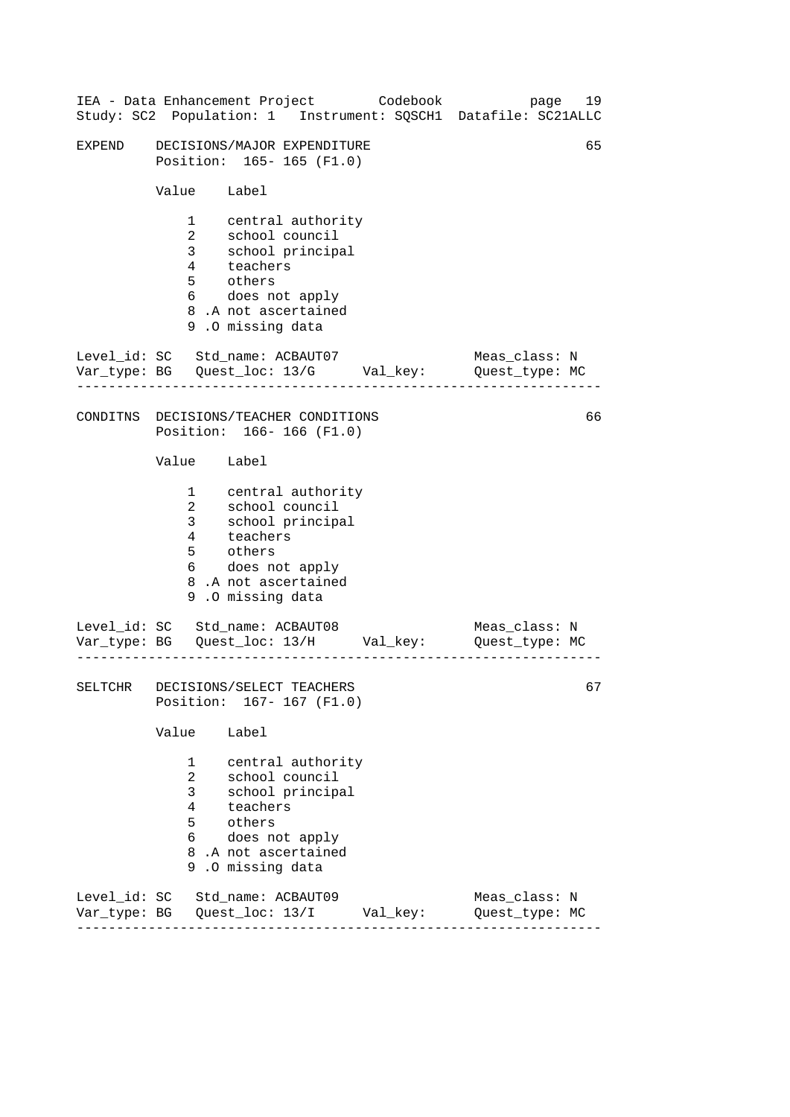|        |                                                                    | IEA - Data Enhancement Project Codebook<br>Study: SC2 Population: 1 Instrument: SQSCH1 Datafile: SC21ALLC                                      |  |  |  | page                            | 19 |
|--------|--------------------------------------------------------------------|------------------------------------------------------------------------------------------------------------------------------------------------|--|--|--|---------------------------------|----|
| EXPEND | DECISIONS/MAJOR EXPENDITURE<br>Position: 165-165 (F1.0)            |                                                                                                                                                |  |  |  |                                 | 65 |
|        | Value Label                                                        |                                                                                                                                                |  |  |  |                                 |    |
|        | $1 \quad \blacksquare$<br>$\overline{2}$<br>$\overline{3}$         | central authority<br>school council<br>school principal<br>4 teachers<br>5 others<br>does not apply<br>8.A not ascertained<br>9.0 missing data |  |  |  |                                 |    |
|        |                                                                    | Level_id: SC Std_name: ACBAUT07<br>Var_type: BG    Quest_loc: 13/G    Val_key:    Quest_type: MC                                               |  |  |  | Meas_class: N                   |    |
|        |                                                                    | CONDITNS DECISIONS/TEACHER CONDITIONS<br>Position: 166-166 (F1.0)                                                                              |  |  |  |                                 | 66 |
|        | Value Label                                                        |                                                                                                                                                |  |  |  |                                 |    |
|        | $\mathbf{1}$<br>$\overline{2}$<br>3 <sup>7</sup><br>$6\overline{}$ | central authority<br>school council<br>school principal<br>4 teachers<br>5 others<br>does not apply<br>8.A not ascertained<br>9.0 missing data |  |  |  |                                 |    |
|        |                                                                    | Level_id: SC Std_name: ACBAUT08<br>Var_type: BG    Quest_loc: 13/H    Val_key:    Quest_type: MC<br>---------------------------                |  |  |  | Meas_class: N                   |    |
|        |                                                                    | SELTCHR DECISIONS/SELECT TEACHERS<br>Position: 167-167 (F1.0)                                                                                  |  |  |  |                                 | 67 |
|        | Value                                                              | Label                                                                                                                                          |  |  |  |                                 |    |
|        | $\mathbf{1}$<br>$\overline{2}$<br>3<br>4<br>5<br>6                 | central authority<br>school council<br>school principal<br>teachers<br>others<br>does not apply<br>8.A not ascertained<br>9.0 missing data     |  |  |  |                                 |    |
|        |                                                                    | Level_id: SC Std_name: ACBAUT09<br>Var_type: BG    Quest_loc: 13/I    Val_key:                                                                 |  |  |  | Meas_class: N<br>Quest_type: MC |    |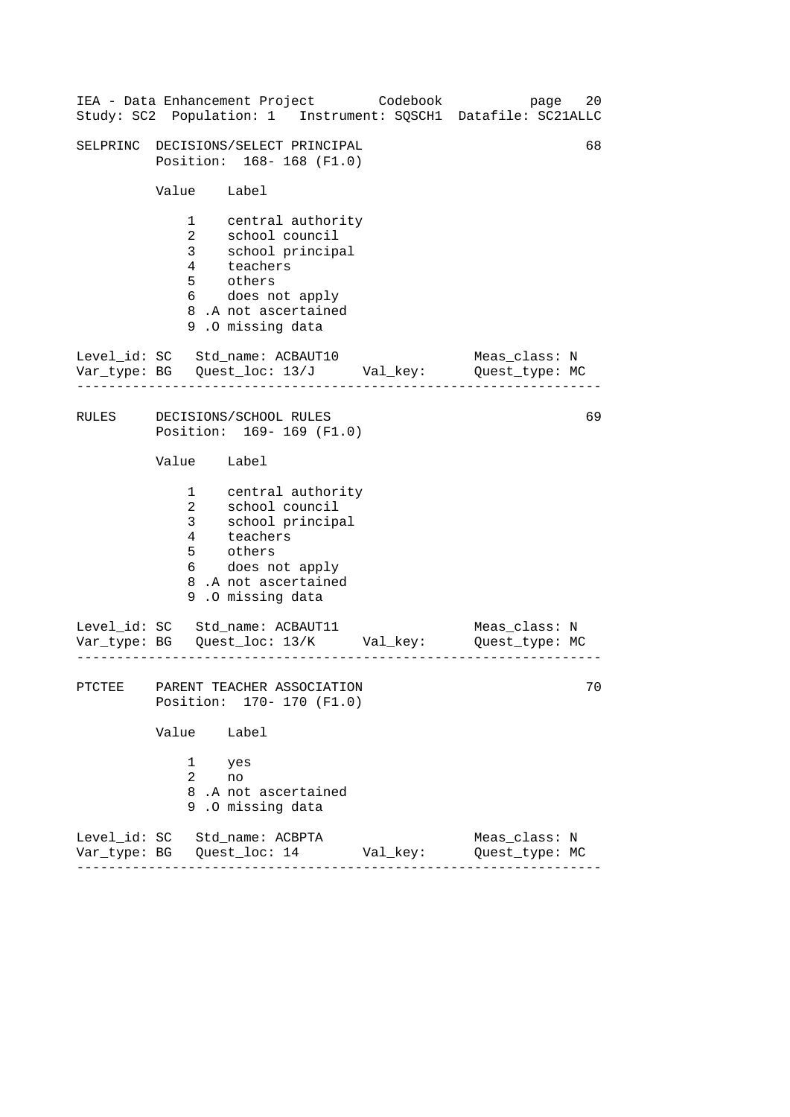|       |                                                                 |                                                                                                                                                | IEA - Data Enhancement Project Codebook | 20<br>page<br>Study: SC2 Population: 1 Instrument: SQSCH1 Datafile: SC21ALLC   |
|-------|-----------------------------------------------------------------|------------------------------------------------------------------------------------------------------------------------------------------------|-----------------------------------------|--------------------------------------------------------------------------------|
|       |                                                                 | SELPRINC DECISIONS/SELECT PRINCIPAL<br>Position: 168-168 (F1.0)                                                                                |                                         | 68                                                                             |
|       | Value Label                                                     |                                                                                                                                                |                                         |                                                                                |
|       | $1 \quad \blacksquare$<br>$\overline{2}$<br>3 <sup>7</sup><br>5 | central authority<br>school council<br>school principal<br>4 teachers<br>others<br>6 does not apply<br>8.A not ascertained<br>9.0 missing data |                                         |                                                                                |
|       |                                                                 | Level_id: SC Std_name: ACBAUT10                                                                                                                |                                         | Meas_class: N<br>Var_type: BG    Quest_loc: 13/J    Val_key:    Quest_type: MC |
| RULES |                                                                 | DECISIONS/SCHOOL RULES<br>Position: 169-169 (F1.0)                                                                                             |                                         | 69                                                                             |
|       | Value Label                                                     |                                                                                                                                                |                                         |                                                                                |
|       | $\mathbf{1}$<br>$\overline{2}$<br>3 <sup>7</sup><br>4<br>5      | central authority<br>school council<br>school principal<br>teachers<br>others<br>6 does not apply<br>8.A not ascertained<br>9.0 missing data   |                                         |                                                                                |
|       |                                                                 | Level_id: SC Std_name: ACBAUT11                                                                                                                |                                         | Meas_class: N<br>Var_type: BG    Quest_loc: 13/K    Val_key:    Quest_type: MC |
|       |                                                                 | PTCTEE PARENT TEACHER ASSOCIATION<br>Position: 170- 170 (F1.0)                                                                                 |                                         | $70\,$                                                                         |
|       | Value Label                                                     |                                                                                                                                                |                                         |                                                                                |
|       | 1<br>$\overline{2}$                                             | yes<br>no<br>8.A not ascertained<br>9.0 missing data                                                                                           |                                         |                                                                                |
|       |                                                                 | Level_id: SC Std_name: ACBPTA                                                                                                                  |                                         | Meas_class: N<br>Quest type: MC                                                |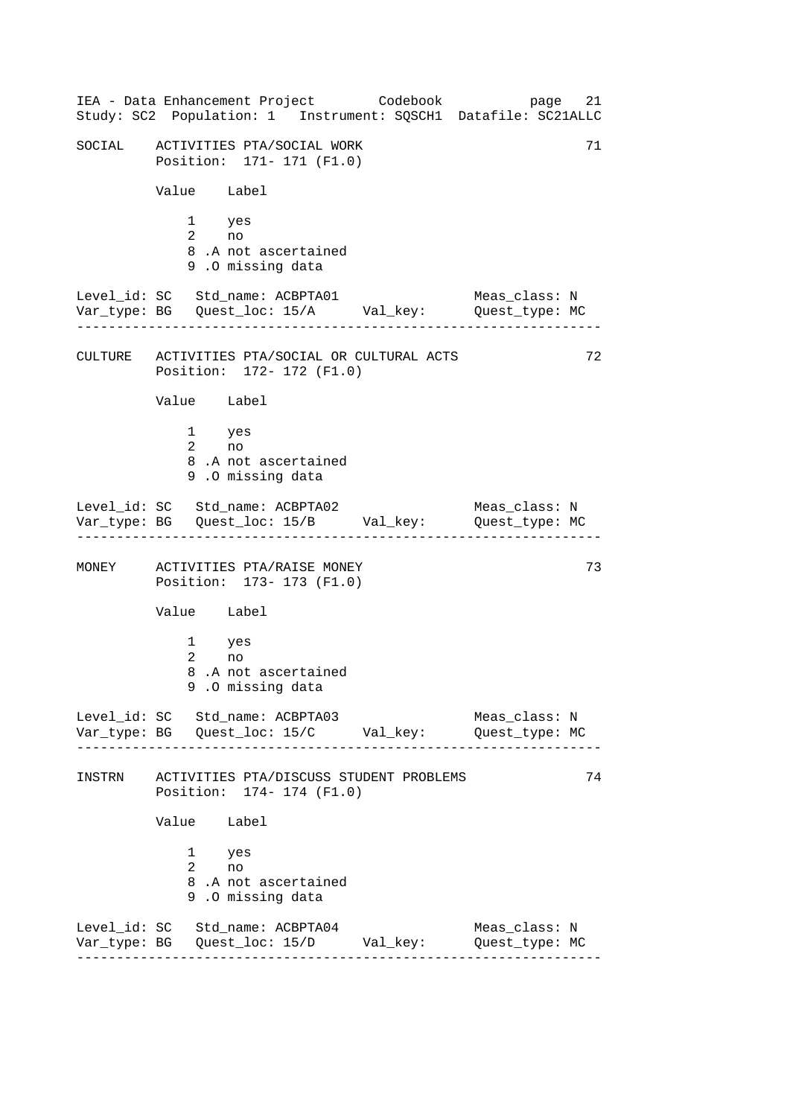------------------------------------------------------------------ ------------------------------------------------------------------ ------------------------------------------------------------------ ------------------------------------------------------------------ IEA - Data Enhancement Project Codebook page 21 Study: SC2 Population: 1 Instrument: SQSCH1 Datafile: SC21ALLC SOCIAL ACTIVITIES PTA/SOCIAL WORK 71 Position: 171- 171 (F1.0) Value Label 1 yes 2 no 8 .A not ascertained 9 .O missing data Level\_id: SC Std\_name: ACBPTA01 Meas\_class: N Var\_type: BG Quest\_loc: 15/A Val\_key: Quest\_type: MC CULTURE ACTIVITIES PTA/SOCIAL OR CULTURAL ACTS 72 Position: 172- 172 (F1.0) Value Label 1 yes 2 no 8 .A not ascertained 9 .O missing data Level\_id: SC Std\_name: ACBPTA02 Meas\_class: N Var\_type: BG Quest\_loc: 15/B Val\_key: Quest\_type: MC MONEY ACTIVITIES PTA/RAISE MONEY 73 Position: 173- 173 (F1.0) Value Label 1 yes 2 no 8 .A not ascertained 9 .O missing data Level id: SC Std name: ACBPTA03 Meas class: N Var\_type: BG Quest\_loc: 15/C Val\_key: Quest\_type: MC INSTRN ACTIVITIES PTA/DISCUSS STUDENT PROBLEMS 74 Position: 174- 174 (F1.0) Value Label 1 yes 2 no 8 .A not ascertained 9 .O missing data Level\_id: SC Std\_name: ACBPTA04 Meas\_class: N Var\_type: BG Quest\_loc: 15/D Val\_key: Quest\_type: MC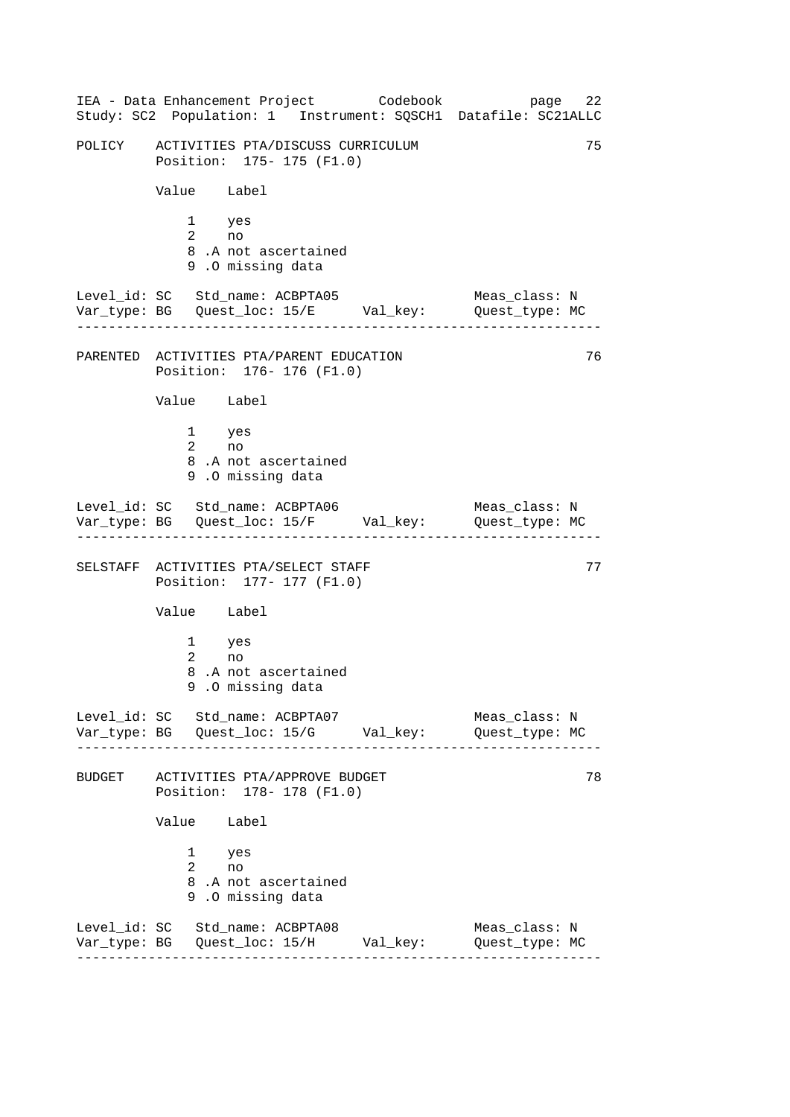------------------------------------------------------------------ ------------------------------------------------------------------ ------------------------------------------------------------------ ------------------------------------------------------------------ IEA - Data Enhancement Project Codebook page 22 Study: SC2 Population: 1 Instrument: SQSCH1 Datafile: SC21ALLC POLICY ACTIVITIES PTA/DISCUSS CURRICULUM 75 Position: 175- 175 (F1.0) Value Label 1 yes 2 no 8 .A not ascertained 9 .O missing data Level\_id: SC Std\_name: ACBPTA05 Meas\_class: N Var\_type: BG Quest\_loc: 15/E Val\_key: Quest\_type: MC PARENTED ACTIVITIES PTA/PARENT EDUCATION 76 Position: 176- 176 (F1.0) Value Label 1 yes 2 no 8 .A not ascertained 9 .O missing data Level\_id: SC Std\_name: ACBPTA06 Meas\_class: N Var\_type: BG Quest\_loc: 15/F Val\_key: Quest\_type: MC SELSTAFF ACTIVITIES PTA/SELECT STAFF 77 Position: 177- 177 (F1.0) Value Label 1 yes 2 no 8 .A not ascertained 9 .O missing data Level id: SC Std name: ACBPTA07 Meas class: N Var\_type: BG Quest\_loc: 15/G Val\_key: Quest\_type: MC BUDGET ACTIVITIES PTA/APPROVE BUDGET 78 Position: 178- 178 (F1.0) Value Label 1 yes 2 no 8 .A not ascertained 9 .O missing data Level\_id: SC Std\_name: ACBPTA08 Meas\_class: N Var\_type: BG Quest\_loc: 15/H Val\_key: Quest\_type: MC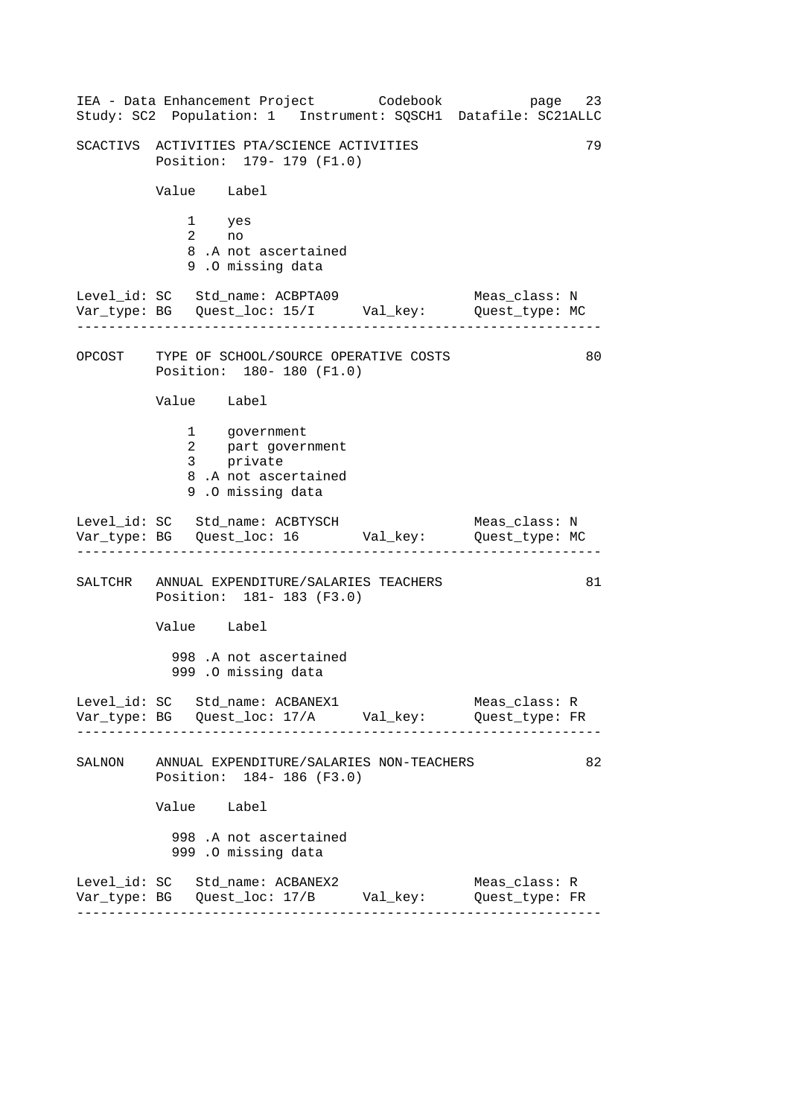------------------------------------------------------------------ ------------------------------------------------------------------ ------------------------------------------------------------------ ------------------------------------------------------------------ IEA - Data Enhancement Project Codebook page 23 Study: SC2 Population: 1 Instrument: SQSCH1 Datafile: SC21ALLC SCACTIVS ACTIVITIES PTA/SCIENCE ACTIVITIES 79 Position: 179- 179 (F1.0) Value Label 1 yes 2 no 8 .A not ascertained 9 .O missing data Level\_id: SC Std\_name: ACBPTA09 Meas\_class: N Var\_type: BG Quest\_loc: 15/I Val\_key: Quest\_type: MC OPCOST TYPE OF SCHOOL/SOURCE OPERATIVE COSTS Position: 180- 180 (F1.0) Value Label 1 government 2 part government 3 private 8 .A not ascertained 9 .O missing data Level\_id: SC Std\_name: ACBTYSCH Meas\_class: N Var\_type: BG Quest\_loc: 16 Val\_key: Quest\_type: MC SALTCHR ANNUAL EXPENDITURE/SALARIES TEACHERS 81 Position: 181- 183 (F3.0) Value Label 998 .A not ascertained 999 .O missing data Level\_id: SC Std\_name: ACBANEX1 Meas\_class: R Var\_type: BG Quest\_loc: 17/A Val\_key: Quest\_type: FR SALNON ANNUAL EXPENDITURE/SALARIES NON-TEACHERS 82 Position: 184- 186 (F3.0) Value Label 998 .A not ascertained 999 .O missing data Level\_id: SC Std\_name: ACBANEX2 Meas\_class: R Var\_type: BG Quest\_loc: 17/B Val\_key: Quest\_type: FR 80